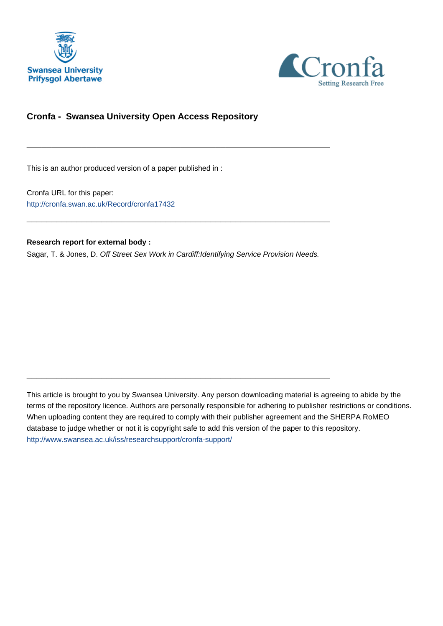



### **Cronfa - Swansea University Open Access Repository**

This is an author produced version of a paper published in :

Cronfa URL for this paper: <http://cronfa.swan.ac.uk/Record/cronfa17432>

#### **Research report for external body :**

Sagar, T. & Jones, D. Off Street Sex Work in Cardiff:Identifying Service Provision Needs.

\_\_\_\_\_\_\_\_\_\_\_\_\_\_\_\_\_\_\_\_\_\_\_\_\_\_\_\_\_\_\_\_\_\_\_\_\_\_\_\_\_\_\_\_\_\_\_\_\_\_\_\_\_\_\_\_\_\_\_\_\_

 $\_$  , and the set of the set of the set of the set of the set of the set of the set of the set of the set of the set of the set of the set of the set of the set of the set of the set of the set of the set of the set of th

\_\_\_\_\_\_\_\_\_\_\_\_\_\_\_\_\_\_\_\_\_\_\_\_\_\_\_\_\_\_\_\_\_\_\_\_\_\_\_\_\_\_\_\_\_\_\_\_\_\_\_\_\_\_\_\_\_\_\_\_\_

This article is brought to you by Swansea University. Any person downloading material is agreeing to abide by the terms of the repository licence. Authors are personally responsible for adhering to publisher restrictions or conditions. When uploading content they are required to comply with their publisher agreement and the SHERPA RoMEO database to judge whether or not it is copyright safe to add this version of the paper to this repository. [http://www.swansea.ac.uk/iss/researchsupport/cronfa-support/](http://www.swansea.ac.uk/iss/researchsupport/cronfa-support/ )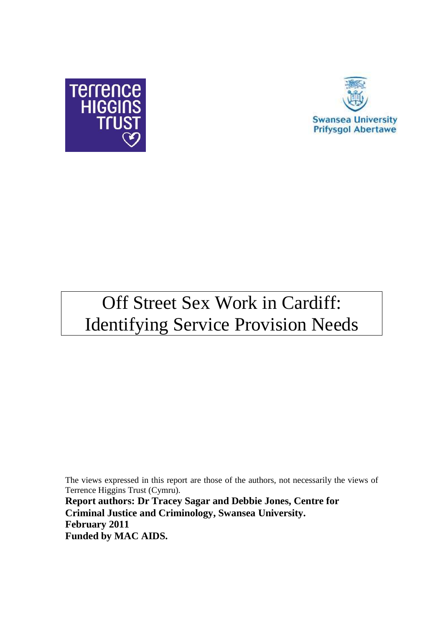



# Off Street Sex Work in Cardiff: Identifying Service Provision Needs

The views expressed in this report are those of the authors, not necessarily the views of Terrence Higgins Trust (Cymru).

**Report authors: Dr Tracey Sagar and Debbie Jones, Centre for Criminal Justice and Criminology, Swansea University. February 2011 Funded by MAC AIDS.**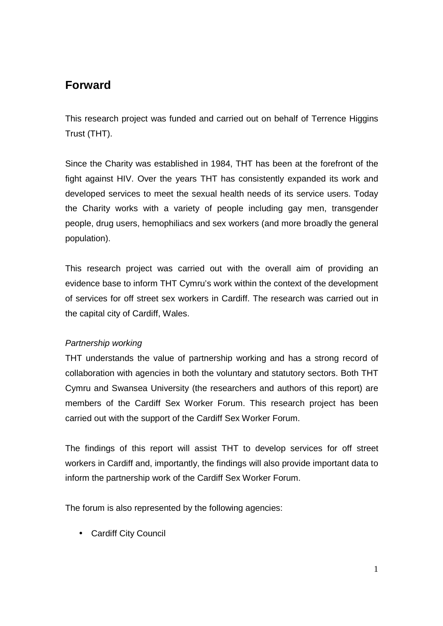# **Forward**

This research project was funded and carried out on behalf of Terrence Higgins Trust (THT).

Since the Charity was established in 1984, THT has been at the forefront of the fight against HIV. Over the years THT has consistently expanded its work and developed services to meet the sexual health needs of its service users. Today the Charity works with a variety of people including gay men, transgender people, drug users, hemophiliacs and sex workers (and more broadly the general population).

This research project was carried out with the overall aim of providing an evidence base to inform THT Cymru's work within the context of the development of services for off street sex workers in Cardiff. The research was carried out in the capital city of Cardiff, Wales.

### Partnership working

THT understands the value of partnership working and has a strong record of collaboration with agencies in both the voluntary and statutory sectors. Both THT Cymru and Swansea University (the researchers and authors of this report) are members of the Cardiff Sex Worker Forum. This research project has been carried out with the support of the Cardiff Sex Worker Forum.

The findings of this report will assist THT to develop services for off street workers in Cardiff and, importantly, the findings will also provide important data to inform the partnership work of the Cardiff Sex Worker Forum.

The forum is also represented by the following agencies:

• Cardiff City Council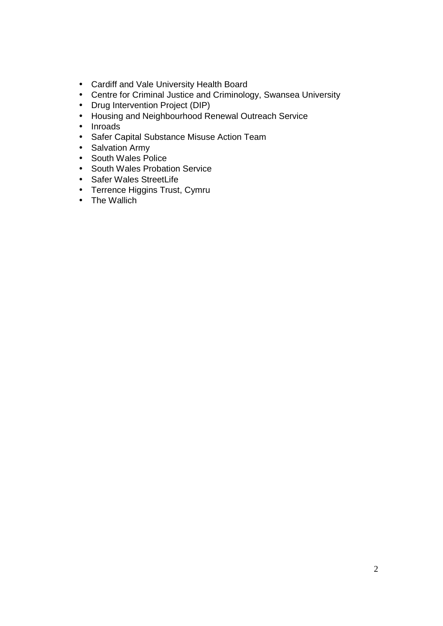- Cardiff and Vale University Health Board
- Centre for Criminal Justice and Criminology, Swansea University
- Drug Intervention Project (DIP)
- Housing and Neighbourhood Renewal Outreach Service
- Inroads
- Safer Capital Substance Misuse Action Team
- Salvation Army
- South Wales Police
- South Wales Probation Service
- Safer Wales StreetLife
- Terrence Higgins Trust, Cymru
- The Wallich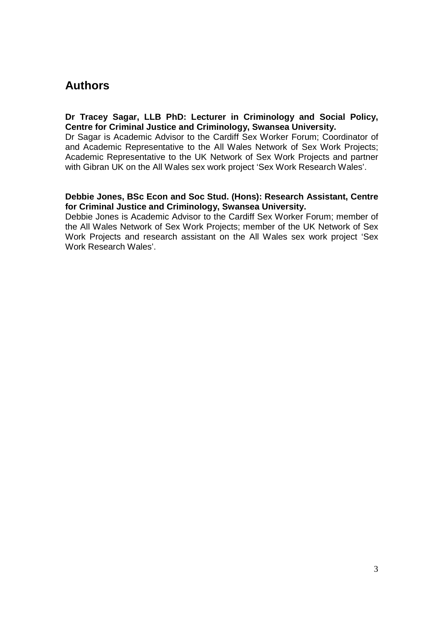# **Authors**

#### **Dr Tracey Sagar, LLB PhD: Lecturer in Criminology and Social Policy, Centre for Criminal Justice and Criminology, Swansea University.**

Dr Sagar is Academic Advisor to the Cardiff Sex Worker Forum; Coordinator of and Academic Representative to the All Wales Network of Sex Work Projects; Academic Representative to the UK Network of Sex Work Projects and partner with Gibran UK on the All Wales sex work project 'Sex Work Research Wales'.

#### **Debbie Jones, BSc Econ and Soc Stud. (Hons): Research Assistant, Centre for Criminal Justice and Criminology, Swansea University.**

Debbie Jones is Academic Advisor to the Cardiff Sex Worker Forum; member of the All Wales Network of Sex Work Projects; member of the UK Network of Sex Work Projects and research assistant on the All Wales sex work project 'Sex Work Research Wales'.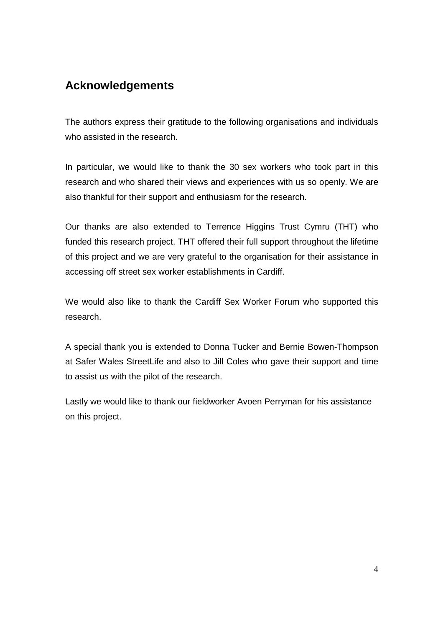# **Acknowledgements**

The authors express their gratitude to the following organisations and individuals who assisted in the research.

In particular, we would like to thank the 30 sex workers who took part in this research and who shared their views and experiences with us so openly. We are also thankful for their support and enthusiasm for the research.

Our thanks are also extended to Terrence Higgins Trust Cymru (THT) who funded this research project. THT offered their full support throughout the lifetime of this project and we are very grateful to the organisation for their assistance in accessing off street sex worker establishments in Cardiff.

We would also like to thank the Cardiff Sex Worker Forum who supported this research.

A special thank you is extended to Donna Tucker and Bernie Bowen-Thompson at Safer Wales StreetLife and also to Jill Coles who gave their support and time to assist us with the pilot of the research.

Lastly we would like to thank our fieldworker Avoen Perryman for his assistance on this project.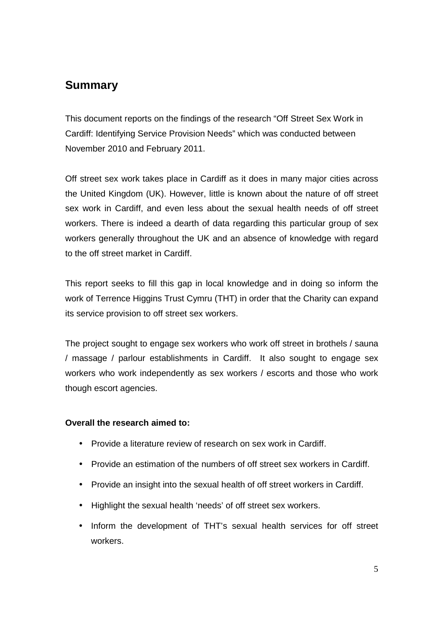# **Summary**

This document reports on the findings of the research "Off Street Sex Work in Cardiff: Identifying Service Provision Needs" which was conducted between November 2010 and February 2011.

Off street sex work takes place in Cardiff as it does in many major cities across the United Kingdom (UK). However, little is known about the nature of off street sex work in Cardiff, and even less about the sexual health needs of off street workers. There is indeed a dearth of data regarding this particular group of sex workers generally throughout the UK and an absence of knowledge with regard to the off street market in Cardiff.

This report seeks to fill this gap in local knowledge and in doing so inform the work of Terrence Higgins Trust Cymru (THT) in order that the Charity can expand its service provision to off street sex workers.

The project sought to engage sex workers who work off street in brothels / sauna / massage / parlour establishments in Cardiff. It also sought to engage sex workers who work independently as sex workers / escorts and those who work though escort agencies.

#### **Overall the research aimed to:**

- Provide a literature review of research on sex work in Cardiff.
- Provide an estimation of the numbers of off street sex workers in Cardiff.
- Provide an insight into the sexual health of off street workers in Cardiff.
- Highlight the sexual health 'needs' of off street sex workers.
- Inform the development of THT's sexual health services for off street workers.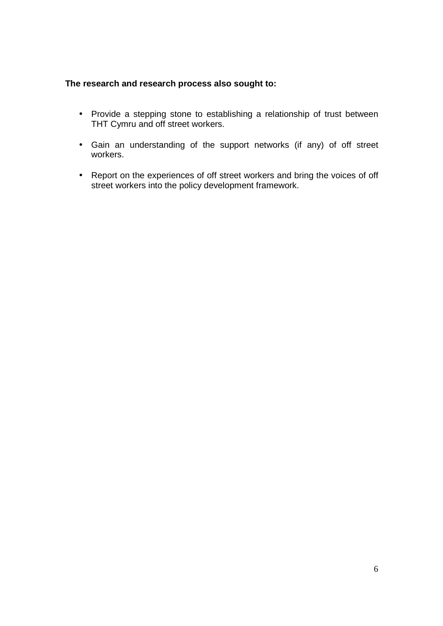#### **The research and research process also sought to:**

- Provide a stepping stone to establishing a relationship of trust between THT Cymru and off street workers.
- Gain an understanding of the support networks (if any) of off street workers.
- Report on the experiences of off street workers and bring the voices of off street workers into the policy development framework.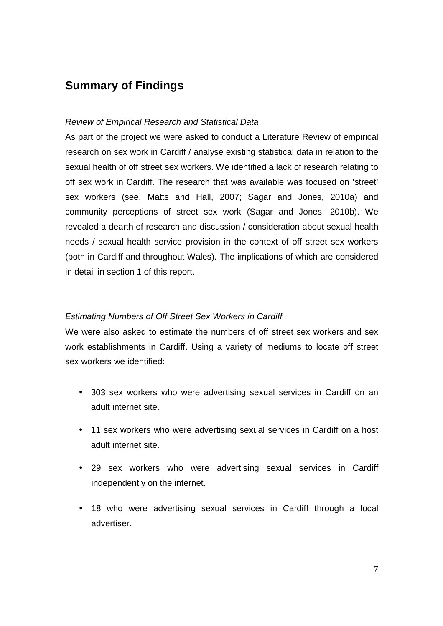# **Summary of Findings**

#### Review of Empirical Research and Statistical Data

As part of the project we were asked to conduct a Literature Review of empirical research on sex work in Cardiff / analyse existing statistical data in relation to the sexual health of off street sex workers. We identified a lack of research relating to off sex work in Cardiff. The research that was available was focused on 'street' sex workers (see, Matts and Hall, 2007; Sagar and Jones, 2010a) and community perceptions of street sex work (Sagar and Jones, 2010b). We revealed a dearth of research and discussion / consideration about sexual health needs / sexual health service provision in the context of off street sex workers (both in Cardiff and throughout Wales). The implications of which are considered in detail in section 1 of this report.

#### Estimating Numbers of Off Street Sex Workers in Cardiff

We were also asked to estimate the numbers of off street sex workers and sex work establishments in Cardiff. Using a variety of mediums to locate off street sex workers we identified:

- 303 sex workers who were advertising sexual services in Cardiff on an adult internet site.
- 11 sex workers who were advertising sexual services in Cardiff on a host adult internet site.
- 29 sex workers who were advertising sexual services in Cardiff independently on the internet.
- 18 who were advertising sexual services in Cardiff through a local advertiser.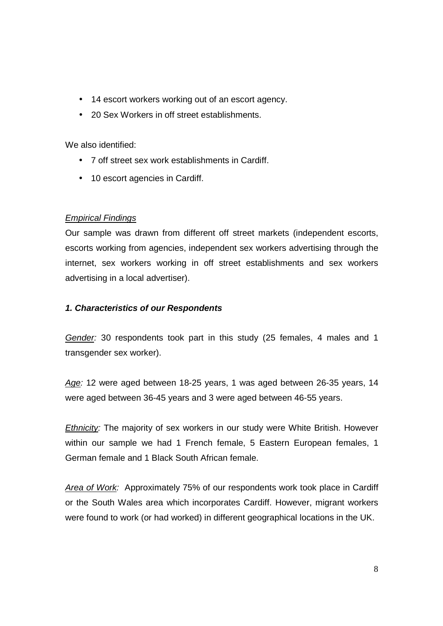- 14 escort workers working out of an escort agency.
- 20 Sex Workers in off street establishments.

We also identified:

- 7 off street sex work establishments in Cardiff.
- 10 escort agencies in Cardiff.

#### Empirical Findings

Our sample was drawn from different off street markets (independent escorts, escorts working from agencies, independent sex workers advertising through the internet, sex workers working in off street establishments and sex workers advertising in a local advertiser).

#### **1. Characteristics of our Respondents**

Gender: 30 respondents took part in this study (25 females, 4 males and 1 transgender sex worker).

Age: 12 were aged between 18-25 years, 1 was aged between 26-35 years, 14 were aged between 36-45 years and 3 were aged between 46-55 years.

Ethnicity: The majority of sex workers in our study were White British. However within our sample we had 1 French female, 5 Eastern European females, 1 German female and 1 Black South African female.

Area of Work: Approximately 75% of our respondents work took place in Cardiff or the South Wales area which incorporates Cardiff. However, migrant workers were found to work (or had worked) in different geographical locations in the UK.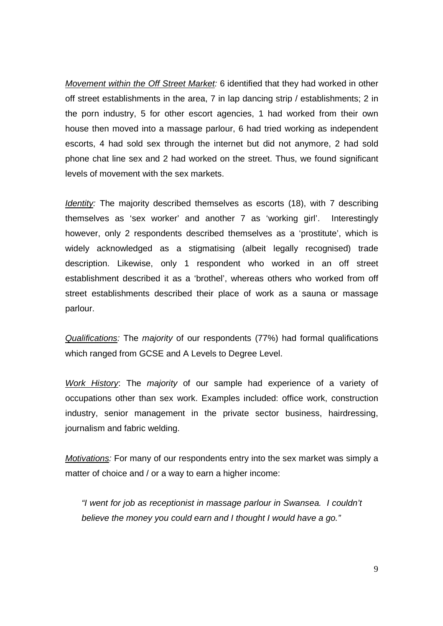Movement within the Off Street Market: 6 identified that they had worked in other off street establishments in the area, 7 in lap dancing strip / establishments; 2 in the porn industry, 5 for other escort agencies, 1 had worked from their own house then moved into a massage parlour, 6 had tried working as independent escorts, 4 had sold sex through the internet but did not anymore, 2 had sold phone chat line sex and 2 had worked on the street. Thus, we found significant levels of movement with the sex markets.

Identity: The majority described themselves as escorts (18), with 7 describing themselves as 'sex worker' and another 7 as 'working girl'. Interestingly however, only 2 respondents described themselves as a 'prostitute', which is widely acknowledged as a stigmatising (albeit legally recognised) trade description. Likewise, only 1 respondent who worked in an off street establishment described it as a 'brothel', whereas others who worked from off street establishments described their place of work as a sauna or massage parlour.

Qualifications: The majority of our respondents (77%) had formal qualifications which ranged from GCSE and A Levels to Degree Level.

Work History: The majority of our sample had experience of a variety of occupations other than sex work. Examples included: office work, construction industry, senior management in the private sector business, hairdressing, journalism and fabric welding.

Motivations: For many of our respondents entry into the sex market was simply a matter of choice and / or a way to earn a higher income:

"I went for job as receptionist in massage parlour in Swansea. I couldn't believe the money you could earn and I thought I would have a go."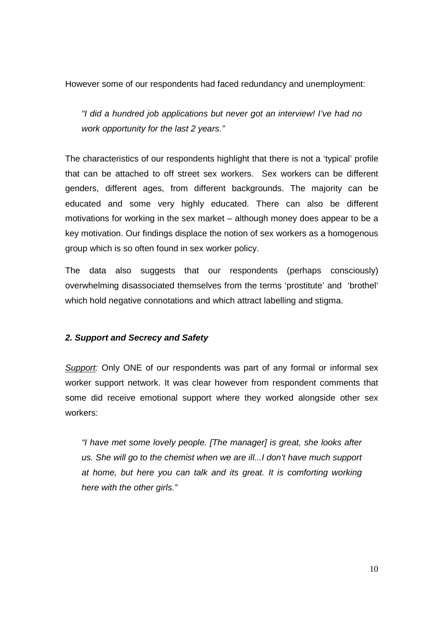However some of our respondents had faced redundancy and unemployment:

"I did a hundred job applications but never got an interview! I've had no work opportunity for the last 2 years."

The characteristics of our respondents highlight that there is not a 'typical' profile that can be attached to off street sex workers. Sex workers can be different genders, different ages, from different backgrounds. The majority can be educated and some very highly educated. There can also be different motivations for working in the sex market – although money does appear to be a key motivation. Our findings displace the notion of sex workers as a homogenous group which is so often found in sex worker policy.

The data also suggests that our respondents (perhaps consciously) overwhelming disassociated themselves from the terms 'prostitute' and 'brothel' which hold negative connotations and which attract labelling and stigma.

#### **2. Support and Secrecy and Safety**

Support: Only ONE of our respondents was part of any formal or informal sex worker support network. It was clear however from respondent comments that some did receive emotional support where they worked alongside other sex workers:

"I have met some lovely people. [The manager] is great, she looks after us. She will go to the chemist when we are ill...I don't have much support at home, but here you can talk and its great. It is comforting working here with the other girls."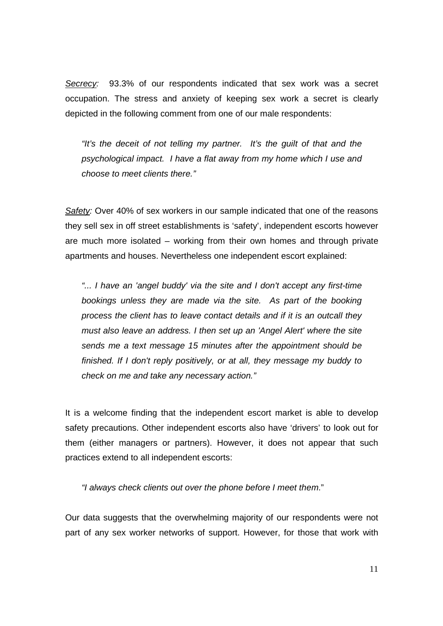Secrecy: 93.3% of our respondents indicated that sex work was a secret occupation. The stress and anxiety of keeping sex work a secret is clearly depicted in the following comment from one of our male respondents:

"It's the deceit of not telling my partner. It's the guilt of that and the psychological impact. I have a flat away from my home which I use and choose to meet clients there."

Safety: Over 40% of sex workers in our sample indicated that one of the reasons they sell sex in off street establishments is 'safety', independent escorts however are much more isolated – working from their own homes and through private apartments and houses. Nevertheless one independent escort explained:

"... I have an 'angel buddy' via the site and I don't accept any first-time bookings unless they are made via the site. As part of the booking process the client has to leave contact details and if it is an outcall they must also leave an address. I then set up an 'Angel Alert' where the site sends me a text message 15 minutes after the appointment should be finished. If I don't reply positively, or at all, they message my buddy to check on me and take any necessary action."

It is a welcome finding that the independent escort market is able to develop safety precautions. Other independent escorts also have 'drivers' to look out for them (either managers or partners). However, it does not appear that such practices extend to all independent escorts:

"I always check clients out over the phone before I meet them."

Our data suggests that the overwhelming majority of our respondents were not part of any sex worker networks of support. However, for those that work with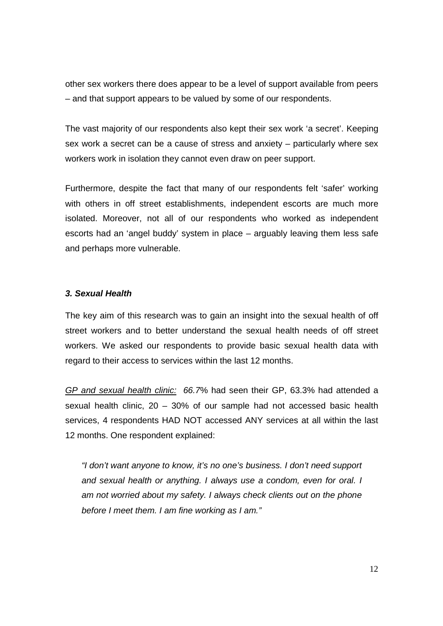other sex workers there does appear to be a level of support available from peers – and that support appears to be valued by some of our respondents.

The vast majority of our respondents also kept their sex work 'a secret'. Keeping sex work a secret can be a cause of stress and anxiety – particularly where sex workers work in isolation they cannot even draw on peer support.

Furthermore, despite the fact that many of our respondents felt 'safer' working with others in off street establishments, independent escorts are much more isolated. Moreover, not all of our respondents who worked as independent escorts had an 'angel buddy' system in place – arguably leaving them less safe and perhaps more vulnerable.

#### **3. Sexual Health**

The key aim of this research was to gain an insight into the sexual health of off street workers and to better understand the sexual health needs of off street workers. We asked our respondents to provide basic sexual health data with regard to their access to services within the last 12 months.

GP and sexual health clinic: 66.7% had seen their GP, 63.3% had attended a sexual health clinic, 20 – 30% of our sample had not accessed basic health services, 4 respondents HAD NOT accessed ANY services at all within the last 12 months. One respondent explained:

"I don't want anyone to know, it's no one's business. I don't need support and sexual health or anything. I always use a condom, even for oral. I am not worried about my safety. I always check clients out on the phone before I meet them. I am fine working as I am."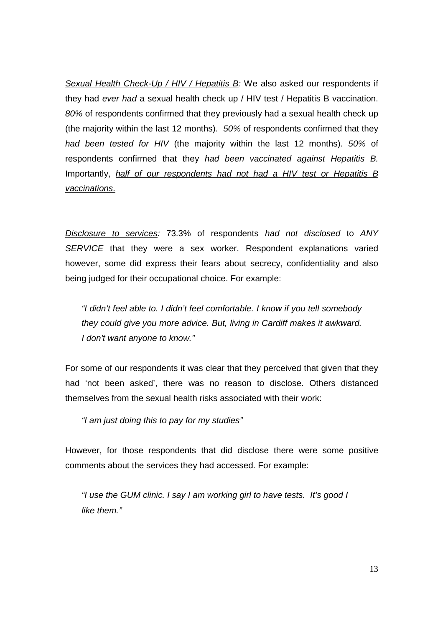Sexual Health Check-Up / HIV / Hepatitis B: We also asked our respondents if they had ever had a sexual health check up / HIV test / Hepatitis B vaccination. 80% of respondents confirmed that they previously had a sexual health check up (the majority within the last 12 months). 50% of respondents confirmed that they had been tested for HIV (the majority within the last 12 months). 50% of respondents confirmed that they had been vaccinated against Hepatitis B. Importantly, half of our respondents had not had a HIV test or Hepatitis B vaccinations.

Disclosure to services: 73.3% of respondents had not disclosed to ANY SERVICE that they were a sex worker. Respondent explanations varied however, some did express their fears about secrecy, confidentiality and also being judged for their occupational choice. For example:

"I didn't feel able to. I didn't feel comfortable. I know if you tell somebody they could give you more advice. But, living in Cardiff makes it awkward. I don't want anyone to know."

For some of our respondents it was clear that they perceived that given that they had 'not been asked', there was no reason to disclose. Others distanced themselves from the sexual health risks associated with their work:

"I am just doing this to pay for my studies"

However, for those respondents that did disclose there were some positive comments about the services they had accessed. For example:

"I use the GUM clinic. I say I am working girl to have tests. It's good I like them."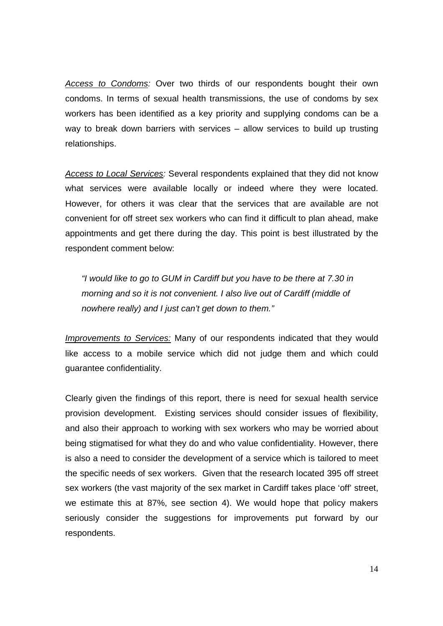Access to Condoms: Over two thirds of our respondents bought their own condoms. In terms of sexual health transmissions, the use of condoms by sex workers has been identified as a key priority and supplying condoms can be a way to break down barriers with services – allow services to build up trusting relationships.

Access to Local Services: Several respondents explained that they did not know what services were available locally or indeed where they were located. However, for others it was clear that the services that are available are not convenient for off street sex workers who can find it difficult to plan ahead, make appointments and get there during the day. This point is best illustrated by the respondent comment below:

"I would like to go to GUM in Cardiff but you have to be there at 7.30 in morning and so it is not convenient. I also live out of Cardiff (middle of nowhere really) and I just can't get down to them."

Improvements to Services: Many of our respondents indicated that they would like access to a mobile service which did not judge them and which could guarantee confidentiality.

Clearly given the findings of this report, there is need for sexual health service provision development. Existing services should consider issues of flexibility, and also their approach to working with sex workers who may be worried about being stigmatised for what they do and who value confidentiality. However, there is also a need to consider the development of a service which is tailored to meet the specific needs of sex workers. Given that the research located 395 off street sex workers (the vast majority of the sex market in Cardiff takes place 'off' street, we estimate this at 87%, see section 4). We would hope that policy makers seriously consider the suggestions for improvements put forward by our respondents.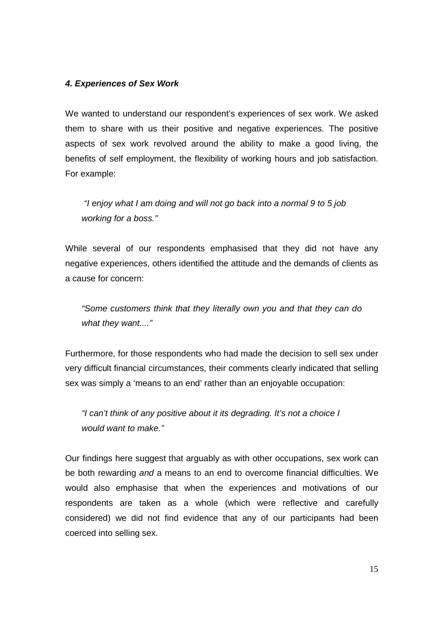#### **4. Experiences of Sex Work**

We wanted to understand our respondent's experiences of sex work. We asked them to share with us their positive and negative experiences. The positive aspects of sex work revolved around the ability to make a good living, the benefits of self employment, the flexibility of working hours and job satisfaction. For example:

 "I enjoy what I am doing and will not go back into a normal 9 to 5 job working for a boss."

While several of our respondents emphasised that they did not have any negative experiences, others identified the attitude and the demands of clients as a cause for concern:

"Some customers think that they literally own you and that they can do what they want...."

Furthermore, for those respondents who had made the decision to sell sex under very difficult financial circumstances, their comments clearly indicated that selling sex was simply a 'means to an end' rather than an enjoyable occupation:

"I can't think of any positive about it its degrading. It's not a choice I would want to make."

Our findings here suggest that arguably as with other occupations, sex work can be both rewarding and a means to an end to overcome financial difficulties. We would also emphasise that when the experiences and motivations of our respondents are taken as a whole (which were reflective and carefully considered) we did not find evidence that any of our participants had been coerced into selling sex.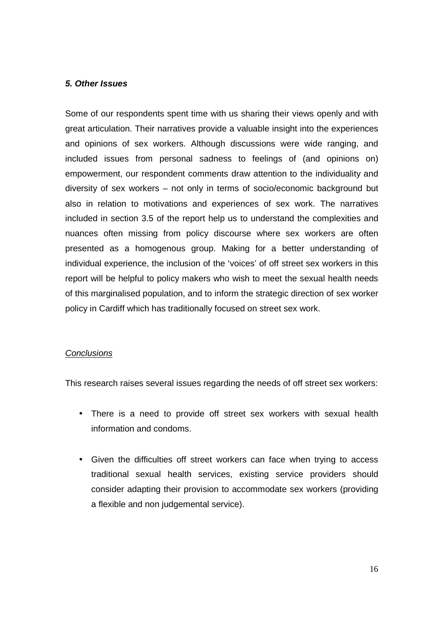#### **5. Other Issues**

Some of our respondents spent time with us sharing their views openly and with great articulation. Their narratives provide a valuable insight into the experiences and opinions of sex workers. Although discussions were wide ranging, and included issues from personal sadness to feelings of (and opinions on) empowerment, our respondent comments draw attention to the individuality and diversity of sex workers – not only in terms of socio/economic background but also in relation to motivations and experiences of sex work. The narratives included in section 3.5 of the report help us to understand the complexities and nuances often missing from policy discourse where sex workers are often presented as a homogenous group. Making for a better understanding of individual experience, the inclusion of the 'voices' of off street sex workers in this report will be helpful to policy makers who wish to meet the sexual health needs of this marginalised population, and to inform the strategic direction of sex worker policy in Cardiff which has traditionally focused on street sex work.

#### **Conclusions**

This research raises several issues regarding the needs of off street sex workers:

- There is a need to provide off street sex workers with sexual health information and condoms.
- Given the difficulties off street workers can face when trying to access traditional sexual health services, existing service providers should consider adapting their provision to accommodate sex workers (providing a flexible and non judgemental service).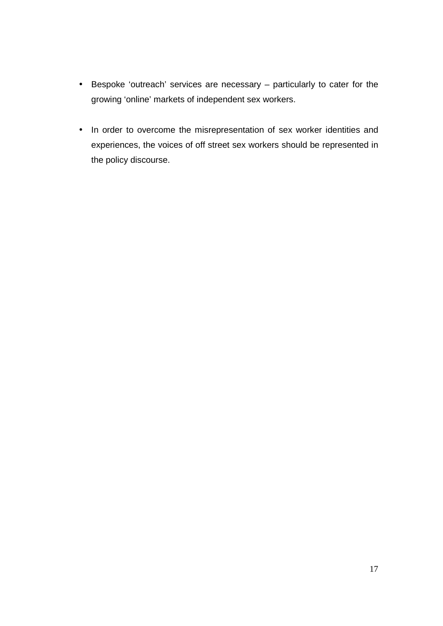- Bespoke 'outreach' services are necessary particularly to cater for the growing 'online' markets of independent sex workers.
- In order to overcome the misrepresentation of sex worker identities and experiences, the voices of off street sex workers should be represented in the policy discourse.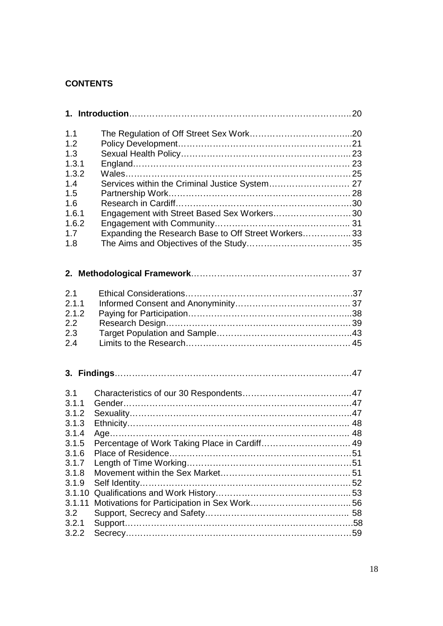### **CONTENTS**

| 1.1<br>1.2<br>1.3<br>1.3.1<br>1.3.2<br>1.4<br>1.5<br>1.6<br>1.6.1<br>1.6.2<br>1.7<br>1.8                 | Services within the Criminal Justice System 27<br>Engagement with Street Based Sex Workers30<br>Expanding the Research Base to Off Street Workers 33 |  |
|----------------------------------------------------------------------------------------------------------|------------------------------------------------------------------------------------------------------------------------------------------------------|--|
|                                                                                                          |                                                                                                                                                      |  |
| 2.1<br>2.1.1<br>2.1.2<br>2.2<br>2.3<br>2.4                                                               |                                                                                                                                                      |  |
|                                                                                                          |                                                                                                                                                      |  |
| 3.1<br>3.1.1<br>3.1.2<br>3.1.3<br>3.1.4<br>3.1.5<br>3.1.6<br>3.1.7<br>3.1.8<br>3.1.9<br>3.1.10<br>3.1.11 | Percentage of Work Taking Place in Cardiff 49                                                                                                        |  |
| 3.2<br>3.2.1<br>3.2.2                                                                                    |                                                                                                                                                      |  |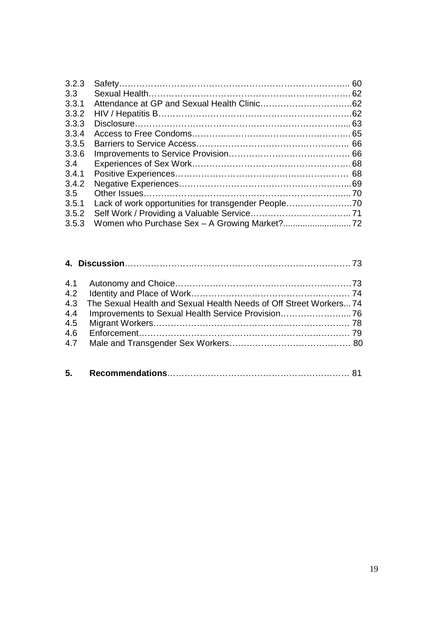| 3.2.3            | 60 |
|------------------|----|
| 3.3 <sub>2</sub> |    |
| 3.3.1            |    |
| 3.3.2            |    |
| 3.3.3            |    |
| 3.3.4            |    |
| 3.3.5            |    |
| 3.3.6            |    |
| $3.4^{\circ}$    |    |
| 3.4.1            |    |
| 3.4.2            |    |
| 3.5              |    |
| 3.5.1            |    |
| 3.5.2            |    |
| 3.5.3            |    |

|     | 4.3 The Sexual Health and Sexual Health Needs of Off Street Workers 74 |
|-----|------------------------------------------------------------------------|
|     | 4.4 Improvements to Sexual Health Service Provision 76                 |
|     |                                                                        |
| 4.6 |                                                                        |
|     |                                                                        |

| 5. |  |  |  |
|----|--|--|--|
|----|--|--|--|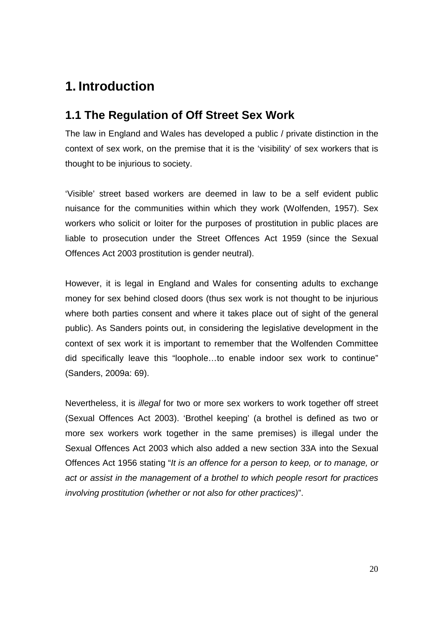# **1. Introduction**

### **1.1 The Regulation of Off Street Sex Work**

The law in England and Wales has developed a public / private distinction in the context of sex work, on the premise that it is the 'visibility' of sex workers that is thought to be injurious to society.

'Visible' street based workers are deemed in law to be a self evident public nuisance for the communities within which they work (Wolfenden, 1957). Sex workers who solicit or loiter for the purposes of prostitution in public places are liable to prosecution under the Street Offences Act 1959 (since the Sexual Offences Act 2003 prostitution is gender neutral).

However, it is legal in England and Wales for consenting adults to exchange money for sex behind closed doors (thus sex work is not thought to be injurious where both parties consent and where it takes place out of sight of the general public). As Sanders points out, in considering the legislative development in the context of sex work it is important to remember that the Wolfenden Committee did specifically leave this "loophole…to enable indoor sex work to continue" (Sanders, 2009a: 69).

Nevertheless, it is illegal for two or more sex workers to work together off street (Sexual Offences Act 2003). 'Brothel keeping' (a brothel is defined as two or more sex workers work together in the same premises) is illegal under the Sexual Offences Act 2003 which also added a new section 33A into the Sexual Offences Act 1956 stating "It is an offence for a person to keep, or to manage, or act or assist in the management of a brothel to which people resort for practices involving prostitution (whether or not also for other practices)".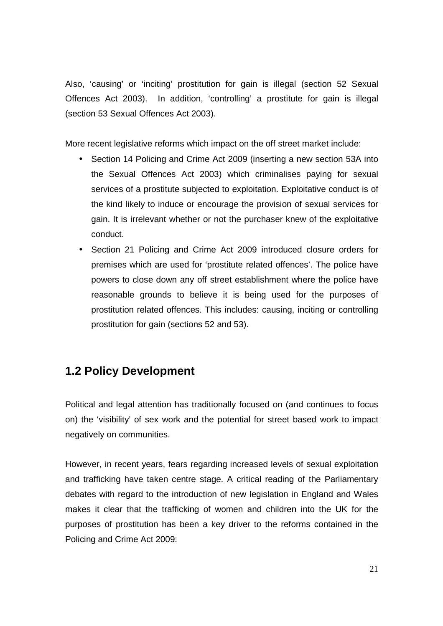Also, 'causing' or 'inciting' prostitution for gain is illegal (section 52 Sexual Offences Act 2003). In addition, 'controlling' a prostitute for gain is illegal (section 53 Sexual Offences Act 2003).

More recent legislative reforms which impact on the off street market include:

- Section 14 Policing and Crime Act 2009 (inserting a new section 53A into the Sexual Offences Act 2003) which criminalises paying for sexual services of a prostitute subjected to exploitation. Exploitative conduct is of the kind likely to induce or encourage the provision of sexual services for gain. It is irrelevant whether or not the purchaser knew of the exploitative conduct.
- Section 21 Policing and Crime Act 2009 introduced closure orders for premises which are used for 'prostitute related offences'. The police have powers to close down any off street establishment where the police have reasonable grounds to believe it is being used for the purposes of prostitution related offences. This includes: causing, inciting or controlling prostitution for gain (sections 52 and 53).

# **1.2 Policy Development**

Political and legal attention has traditionally focused on (and continues to focus on) the 'visibility' of sex work and the potential for street based work to impact negatively on communities.

However, in recent years, fears regarding increased levels of sexual exploitation and trafficking have taken centre stage. A critical reading of the Parliamentary debates with regard to the introduction of new legislation in England and Wales makes it clear that the trafficking of women and children into the UK for the purposes of prostitution has been a key driver to the reforms contained in the Policing and Crime Act 2009: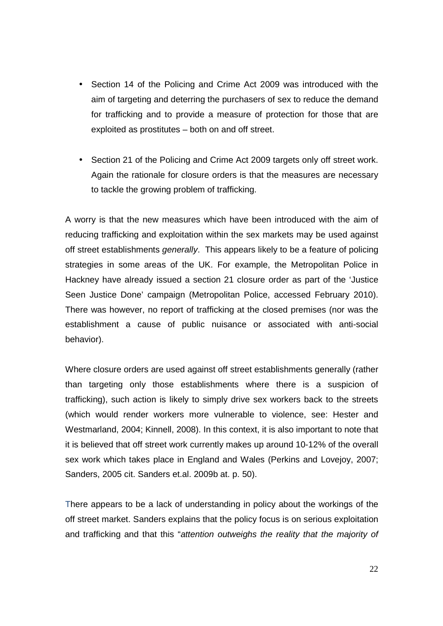- Section 14 of the Policing and Crime Act 2009 was introduced with the aim of targeting and deterring the purchasers of sex to reduce the demand for trafficking and to provide a measure of protection for those that are exploited as prostitutes – both on and off street.
- Section 21 of the Policing and Crime Act 2009 targets only off street work. Again the rationale for closure orders is that the measures are necessary to tackle the growing problem of trafficking.

A worry is that the new measures which have been introduced with the aim of reducing trafficking and exploitation within the sex markets may be used against off street establishments generally. This appears likely to be a feature of policing strategies in some areas of the UK. For example, the Metropolitan Police in Hackney have already issued a section 21 closure order as part of the 'Justice Seen Justice Done' campaign (Metropolitan Police, accessed February 2010). There was however, no report of trafficking at the closed premises (nor was the establishment a cause of public nuisance or associated with anti-social behavior).

Where closure orders are used against off street establishments generally (rather than targeting only those establishments where there is a suspicion of trafficking), such action is likely to simply drive sex workers back to the streets (which would render workers more vulnerable to violence, see: Hester and Westmarland, 2004; Kinnell, 2008). In this context, it is also important to note that it is believed that off street work currently makes up around 10-12% of the overall sex work which takes place in England and Wales (Perkins and Lovejoy, 2007; Sanders, 2005 cit. Sanders et.al. 2009b at. p. 50).

There appears to be a lack of understanding in policy about the workings of the off street market. Sanders explains that the policy focus is on serious exploitation and trafficking and that this "attention outweighs the reality that the majority of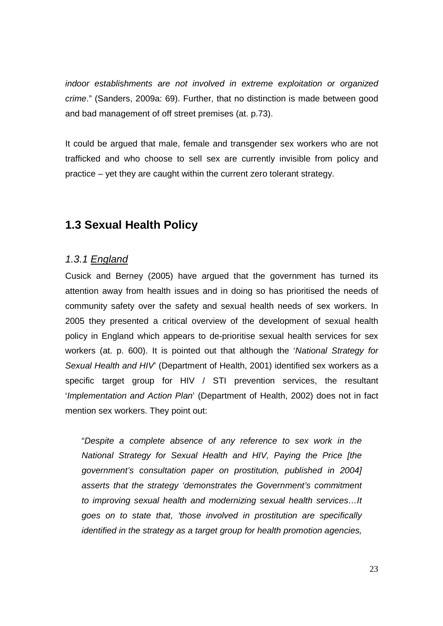indoor establishments are not involved in extreme exploitation or organized crime." (Sanders, 2009a: 69). Further, that no distinction is made between good and bad management of off street premises (at. p.73).

It could be argued that male, female and transgender sex workers who are not trafficked and who choose to sell sex are currently invisible from policy and practice – yet they are caught within the current zero tolerant strategy.

# **1.3 Sexual Health Policy**

### 1.3.1 England

Cusick and Berney (2005) have argued that the government has turned its attention away from health issues and in doing so has prioritised the needs of community safety over the safety and sexual health needs of sex workers. In 2005 they presented a critical overview of the development of sexual health policy in England which appears to de-prioritise sexual health services for sex workers (at. p. 600). It is pointed out that although the 'National Strategy for Sexual Health and HIV' (Department of Health, 2001) identified sex workers as a specific target group for HIV / STI prevention services, the resultant 'Implementation and Action Plan' (Department of Health, 2002) does not in fact mention sex workers. They point out:

"Despite a complete absence of any reference to sex work in the National Strategy for Sexual Health and HIV, Paying the Price [the government's consultation paper on prostitution, published in 2004] asserts that the strategy 'demonstrates the Government's commitment to improving sexual health and modernizing sexual health services…It goes on to state that, 'those involved in prostitution are specifically identified in the strategy as a target group for health promotion agencies,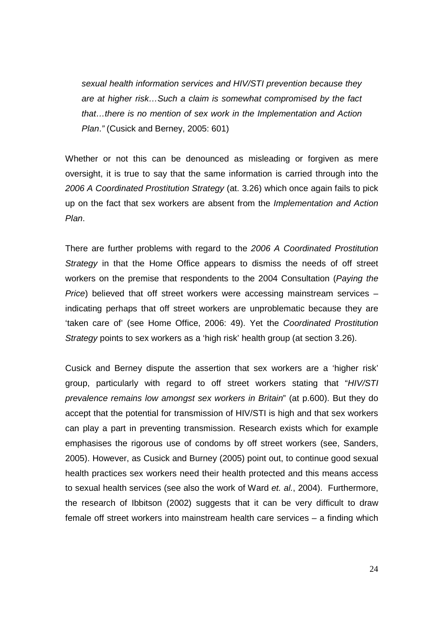sexual health information services and HIV/STI prevention because they are at higher risk…Such a claim is somewhat compromised by the fact that…there is no mention of sex work in the Implementation and Action Plan." (Cusick and Berney, 2005: 601)

Whether or not this can be denounced as misleading or forgiven as mere oversight, it is true to say that the same information is carried through into the 2006 A Coordinated Prostitution Strategy (at. 3.26) which once again fails to pick up on the fact that sex workers are absent from the *Implementation and Action* Plan.

There are further problems with regard to the 2006 A Coordinated Prostitution Strategy in that the Home Office appears to dismiss the needs of off street workers on the premise that respondents to the 2004 Consultation (Paying the Price) believed that off street workers were accessing mainstream services – indicating perhaps that off street workers are unproblematic because they are 'taken care of' (see Home Office, 2006: 49). Yet the Coordinated Prostitution Strategy points to sex workers as a 'high risk' health group (at section 3.26).

Cusick and Berney dispute the assertion that sex workers are a 'higher risk' group, particularly with regard to off street workers stating that "HIV/STI prevalence remains low amongst sex workers in Britain" (at p.600). But they do accept that the potential for transmission of HIV/STI is high and that sex workers can play a part in preventing transmission. Research exists which for example emphasises the rigorous use of condoms by off street workers (see, Sanders, 2005). However, as Cusick and Burney (2005) point out, to continue good sexual health practices sex workers need their health protected and this means access to sexual health services (see also the work of Ward et. al., 2004). Furthermore, the research of Ibbitson (2002) suggests that it can be very difficult to draw female off street workers into mainstream health care services – a finding which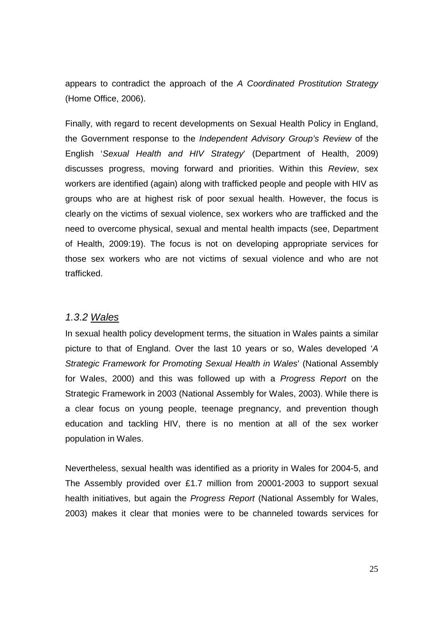appears to contradict the approach of the A Coordinated Prostitution Strategy (Home Office, 2006).

Finally, with regard to recent developments on Sexual Health Policy in England, the Government response to the Independent Advisory Group's Review of the English 'Sexual Health and HIV Strategy' (Department of Health, 2009) discusses progress, moving forward and priorities. Within this Review, sex workers are identified (again) along with trafficked people and people with HIV as groups who are at highest risk of poor sexual health. However, the focus is clearly on the victims of sexual violence, sex workers who are trafficked and the need to overcome physical, sexual and mental health impacts (see, Department of Health, 2009:19). The focus is not on developing appropriate services for those sex workers who are not victims of sexual violence and who are not trafficked.

### 1.3.2 Wales

In sexual health policy development terms, the situation in Wales paints a similar picture to that of England. Over the last 10 years or so, Wales developed 'A Strategic Framework for Promoting Sexual Health in Wales' (National Assembly for Wales, 2000) and this was followed up with a Progress Report on the Strategic Framework in 2003 (National Assembly for Wales, 2003). While there is a clear focus on young people, teenage pregnancy, and prevention though education and tackling HIV, there is no mention at all of the sex worker population in Wales.

Nevertheless, sexual health was identified as a priority in Wales for 2004-5, and The Assembly provided over £1.7 million from 20001-2003 to support sexual health initiatives, but again the Progress Report (National Assembly for Wales, 2003) makes it clear that monies were to be channeled towards services for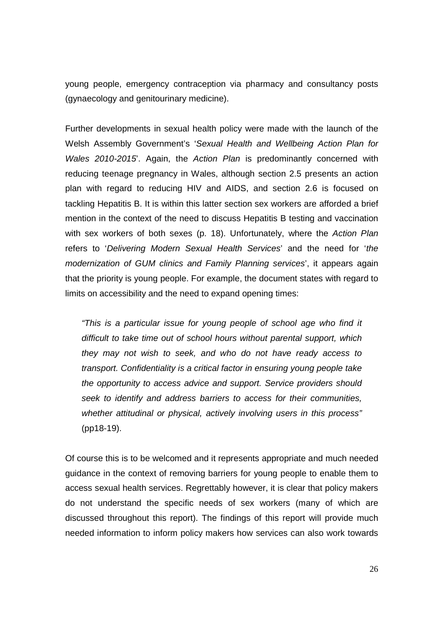young people, emergency contraception via pharmacy and consultancy posts (gynaecology and genitourinary medicine).

Further developments in sexual health policy were made with the launch of the Welsh Assembly Government's 'Sexual Health and Wellbeing Action Plan for Wales 2010-2015. Again, the Action Plan is predominantly concerned with reducing teenage pregnancy in Wales, although section 2.5 presents an action plan with regard to reducing HIV and AIDS, and section 2.6 is focused on tackling Hepatitis B. It is within this latter section sex workers are afforded a brief mention in the context of the need to discuss Hepatitis B testing and vaccination with sex workers of both sexes (p. 18). Unfortunately, where the Action Plan refers to 'Delivering Modern Sexual Health Services' and the need for 'the modernization of GUM clinics and Family Planning services', it appears again that the priority is young people. For example, the document states with regard to limits on accessibility and the need to expand opening times:

"This is a particular issue for young people of school age who find it difficult to take time out of school hours without parental support, which they may not wish to seek, and who do not have ready access to transport. Confidentiality is a critical factor in ensuring young people take the opportunity to access advice and support. Service providers should seek to identify and address barriers to access for their communities, whether attitudinal or physical, actively involving users in this process" (pp18-19).

Of course this is to be welcomed and it represents appropriate and much needed guidance in the context of removing barriers for young people to enable them to access sexual health services. Regrettably however, it is clear that policy makers do not understand the specific needs of sex workers (many of which are discussed throughout this report). The findings of this report will provide much needed information to inform policy makers how services can also work towards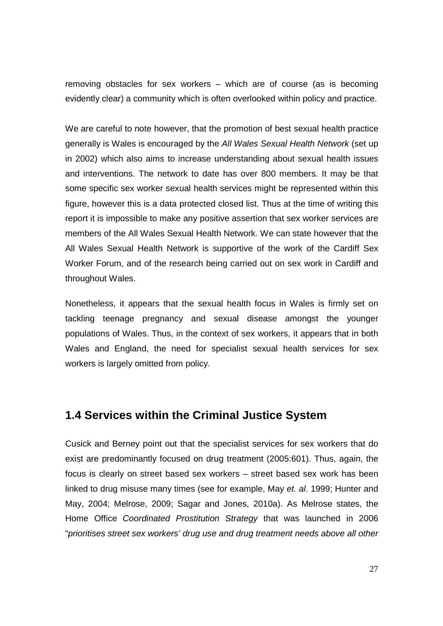removing obstacles for sex workers – which are of course (as is becoming evidently clear) a community which is often overlooked within policy and practice.

We are careful to note however, that the promotion of best sexual health practice generally is Wales is encouraged by the All Wales Sexual Health Network (set up in 2002) which also aims to increase understanding about sexual health issues and interventions. The network to date has over 800 members. It may be that some specific sex worker sexual health services might be represented within this figure, however this is a data protected closed list. Thus at the time of writing this report it is impossible to make any positive assertion that sex worker services are members of the All Wales Sexual Health Network. We can state however that the All Wales Sexual Health Network is supportive of the work of the Cardiff Sex Worker Forum, and of the research being carried out on sex work in Cardiff and throughout Wales.

Nonetheless, it appears that the sexual health focus in Wales is firmly set on tackling teenage pregnancy and sexual disease amongst the younger populations of Wales. Thus, in the context of sex workers, it appears that in both Wales and England, the need for specialist sexual health services for sex workers is largely omitted from policy.

### **1.4 Services within the Criminal Justice System**

Cusick and Berney point out that the specialist services for sex workers that do exist are predominantly focused on drug treatment (2005:601). Thus, again, the focus is clearly on street based sex workers – street based sex work has been linked to drug misuse many times (see for example, May et. al. 1999; Hunter and May, 2004; Melrose, 2009; Sagar and Jones, 2010a). As Melrose states, the Home Office Coordinated Prostitution Strategy that was launched in 2006 "prioritises street sex workers' drug use and drug treatment needs above all other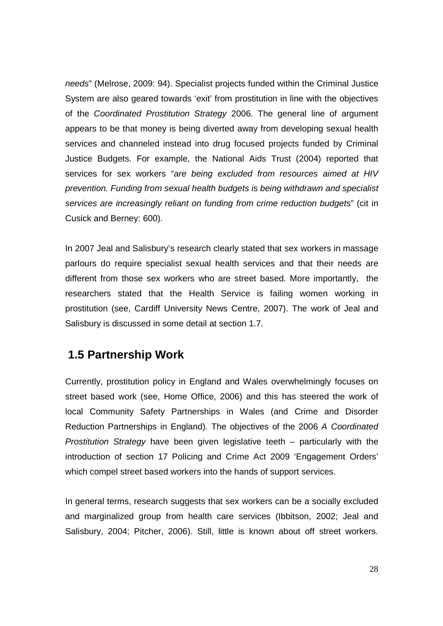needs" (Melrose, 2009: 94). Specialist projects funded within the Criminal Justice System are also geared towards 'exit' from prostitution in line with the objectives of the Coordinated Prostitution Strategy 2006. The general line of argument appears to be that money is being diverted away from developing sexual health services and channeled instead into drug focused projects funded by Criminal Justice Budgets. For example, the National Aids Trust (2004) reported that services for sex workers "are being excluded from resources aimed at HIV prevention. Funding from sexual health budgets is being withdrawn and specialist services are increasingly reliant on funding from crime reduction budgets" (cit in Cusick and Berney: 600).

In 2007 Jeal and Salisbury's research clearly stated that sex workers in massage parlours do require specialist sexual health services and that their needs are different from those sex workers who are street based. More importantly, the researchers stated that the Health Service is failing women working in prostitution (see, Cardiff University News Centre, 2007). The work of Jeal and Salisbury is discussed in some detail at section 1.7.

### **1.5 Partnership Work**

Currently, prostitution policy in England and Wales overwhelmingly focuses on street based work (see, Home Office, 2006) and this has steered the work of local Community Safety Partnerships in Wales (and Crime and Disorder Reduction Partnerships in England). The objectives of the 2006 A Coordinated Prostitution Strategy have been given legislative teeth – particularly with the introduction of section 17 Policing and Crime Act 2009 'Engagement Orders' which compel street based workers into the hands of support services.

In general terms, research suggests that sex workers can be a socially excluded and marginalized group from health care services (Ibbitson, 2002; Jeal and Salisbury, 2004; Pitcher, 2006). Still, little is known about off street workers.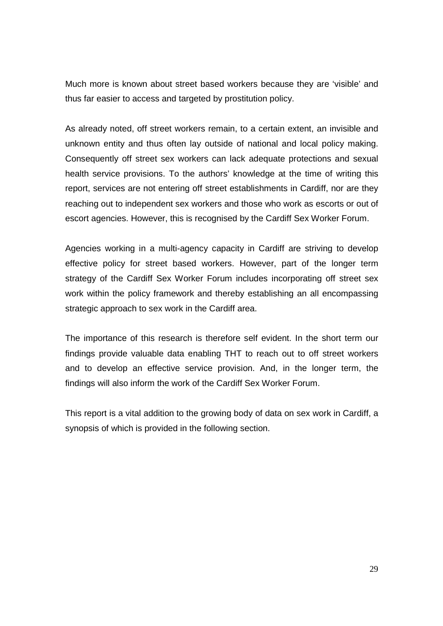Much more is known about street based workers because they are 'visible' and thus far easier to access and targeted by prostitution policy.

As already noted, off street workers remain, to a certain extent, an invisible and unknown entity and thus often lay outside of national and local policy making. Consequently off street sex workers can lack adequate protections and sexual health service provisions. To the authors' knowledge at the time of writing this report, services are not entering off street establishments in Cardiff, nor are they reaching out to independent sex workers and those who work as escorts or out of escort agencies. However, this is recognised by the Cardiff Sex Worker Forum.

Agencies working in a multi-agency capacity in Cardiff are striving to develop effective policy for street based workers. However, part of the longer term strategy of the Cardiff Sex Worker Forum includes incorporating off street sex work within the policy framework and thereby establishing an all encompassing strategic approach to sex work in the Cardiff area.

The importance of this research is therefore self evident. In the short term our findings provide valuable data enabling THT to reach out to off street workers and to develop an effective service provision. And, in the longer term, the findings will also inform the work of the Cardiff Sex Worker Forum.

This report is a vital addition to the growing body of data on sex work in Cardiff, a synopsis of which is provided in the following section.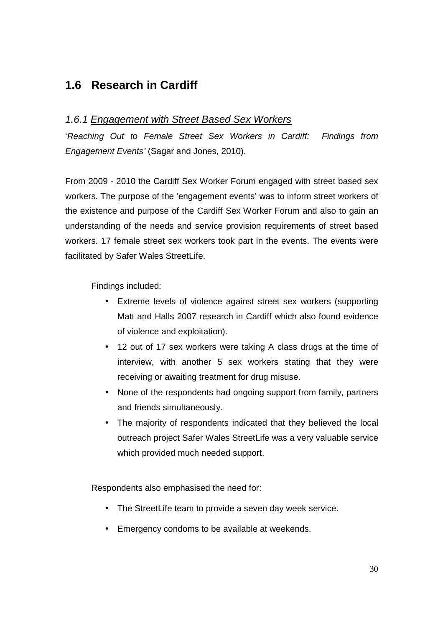# **1.6 Research in Cardiff**

### 1.6.1 Engagement with Street Based Sex Workers

'Reaching Out to Female Street Sex Workers in Cardiff: Findings from Engagement Events' (Sagar and Jones, 2010).

From 2009 - 2010 the Cardiff Sex Worker Forum engaged with street based sex workers. The purpose of the 'engagement events' was to inform street workers of the existence and purpose of the Cardiff Sex Worker Forum and also to gain an understanding of the needs and service provision requirements of street based workers. 17 female street sex workers took part in the events. The events were facilitated by Safer Wales StreetLife.

Findings included:

- Extreme levels of violence against street sex workers (supporting Matt and Halls 2007 research in Cardiff which also found evidence of violence and exploitation).
- 12 out of 17 sex workers were taking A class drugs at the time of interview, with another 5 sex workers stating that they were receiving or awaiting treatment for drug misuse.
- None of the respondents had ongoing support from family, partners and friends simultaneously.
- The majority of respondents indicated that they believed the local outreach project Safer Wales StreetLife was a very valuable service which provided much needed support.

Respondents also emphasised the need for:

- The StreetLife team to provide a seven day week service.
- Emergency condoms to be available at weekends.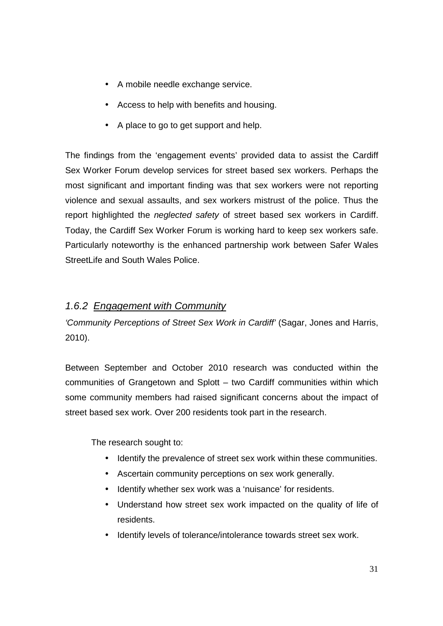- A mobile needle exchange service.
- Access to help with benefits and housing.
- A place to go to get support and help.

The findings from the 'engagement events' provided data to assist the Cardiff Sex Worker Forum develop services for street based sex workers. Perhaps the most significant and important finding was that sex workers were not reporting violence and sexual assaults, and sex workers mistrust of the police. Thus the report highlighted the *neglected safety* of street based sex workers in Cardiff. Today, the Cardiff Sex Worker Forum is working hard to keep sex workers safe. Particularly noteworthy is the enhanced partnership work between Safer Wales StreetLife and South Wales Police.

### 1.6.2 Engagement with Community

'Community Perceptions of Street Sex Work in Cardiff' (Sagar, Jones and Harris, 2010).

Between September and October 2010 research was conducted within the communities of Grangetown and Splott – two Cardiff communities within which some community members had raised significant concerns about the impact of street based sex work. Over 200 residents took part in the research.

The research sought to:

- Identify the prevalence of street sex work within these communities.
- Ascertain community perceptions on sex work generally.
- Identify whether sex work was a 'nuisance' for residents.
- Understand how street sex work impacted on the quality of life of residents.
- Identify levels of tolerance/intolerance towards street sex work.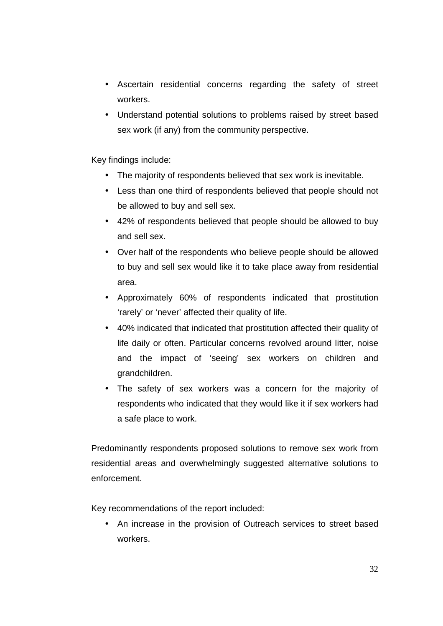- Ascertain residential concerns regarding the safety of street workers.
- Understand potential solutions to problems raised by street based sex work (if any) from the community perspective.

Key findings include:

- The majority of respondents believed that sex work is inevitable.
- Less than one third of respondents believed that people should not be allowed to buy and sell sex.
- 42% of respondents believed that people should be allowed to buy and sell sex.
- Over half of the respondents who believe people should be allowed to buy and sell sex would like it to take place away from residential area.
- Approximately 60% of respondents indicated that prostitution 'rarely' or 'never' affected their quality of life.
- 40% indicated that indicated that prostitution affected their quality of life daily or often. Particular concerns revolved around litter, noise and the impact of 'seeing' sex workers on children and grandchildren.
- The safety of sex workers was a concern for the majority of respondents who indicated that they would like it if sex workers had a safe place to work.

Predominantly respondents proposed solutions to remove sex work from residential areas and overwhelmingly suggested alternative solutions to enforcement.

Key recommendations of the report included:

• An increase in the provision of Outreach services to street based workers.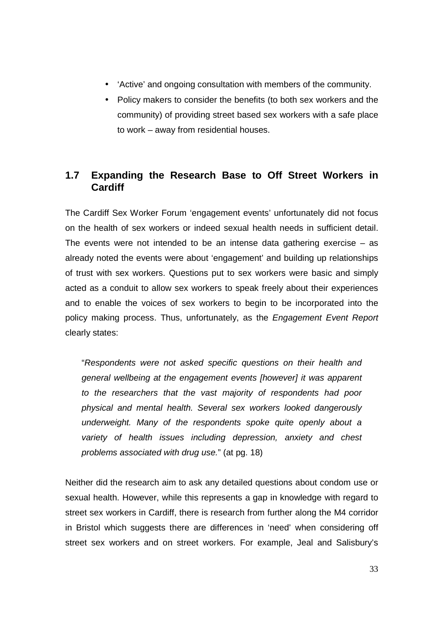- 'Active' and ongoing consultation with members of the community.
- Policy makers to consider the benefits (to both sex workers and the community) of providing street based sex workers with a safe place to work – away from residential houses.

### **1.7 Expanding the Research Base to Off Street Workers in Cardiff**

The Cardiff Sex Worker Forum 'engagement events' unfortunately did not focus on the health of sex workers or indeed sexual health needs in sufficient detail. The events were not intended to be an intense data gathering exercise  $-$  as already noted the events were about 'engagement' and building up relationships of trust with sex workers. Questions put to sex workers were basic and simply acted as a conduit to allow sex workers to speak freely about their experiences and to enable the voices of sex workers to begin to be incorporated into the policy making process. Thus, unfortunately, as the Engagement Event Report clearly states:

"Respondents were not asked specific questions on their health and general wellbeing at the engagement events [however] it was apparent to the researchers that the vast majority of respondents had poor physical and mental health. Several sex workers looked dangerously underweight. Many of the respondents spoke quite openly about a variety of health issues including depression, anxiety and chest problems associated with drug use." (at pg. 18)

Neither did the research aim to ask any detailed questions about condom use or sexual health. However, while this represents a gap in knowledge with regard to street sex workers in Cardiff, there is research from further along the M4 corridor in Bristol which suggests there are differences in 'need' when considering off street sex workers and on street workers. For example, Jeal and Salisbury's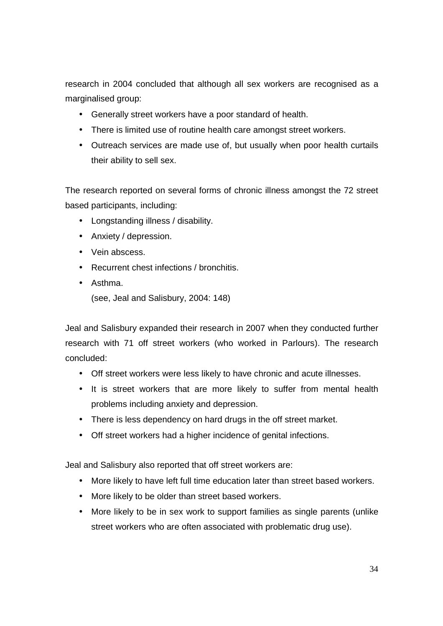research in 2004 concluded that although all sex workers are recognised as a marginalised group:

- Generally street workers have a poor standard of health.
- There is limited use of routine health care amongst street workers.
- Outreach services are made use of, but usually when poor health curtails their ability to sell sex.

The research reported on several forms of chronic illness amongst the 72 street based participants, including:

- Longstanding illness / disability.
- Anxiety / depression.
- Vein abscess.
- Recurrent chest infections / bronchitis.
- Asthma.

(see, Jeal and Salisbury, 2004: 148)

Jeal and Salisbury expanded their research in 2007 when they conducted further research with 71 off street workers (who worked in Parlours). The research concluded:

- Off street workers were less likely to have chronic and acute illnesses.
- It is street workers that are more likely to suffer from mental health problems including anxiety and depression.
- There is less dependency on hard drugs in the off street market.
- Off street workers had a higher incidence of genital infections.

Jeal and Salisbury also reported that off street workers are:

- More likely to have left full time education later than street based workers.
- More likely to be older than street based workers.
- More likely to be in sex work to support families as single parents (unlike street workers who are often associated with problematic drug use).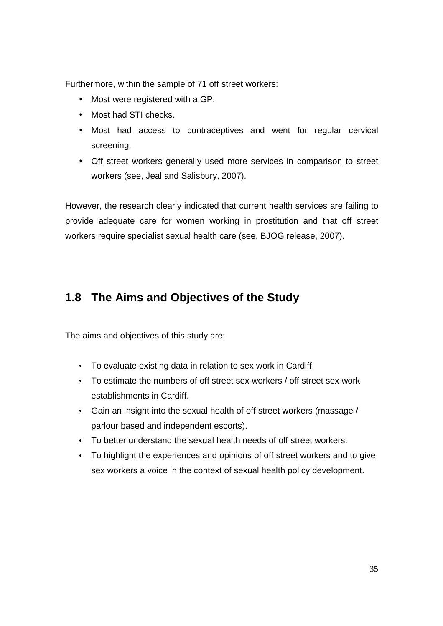Furthermore, within the sample of 71 off street workers:

- Most were registered with a GP.
- Most had STI checks.
- Most had access to contraceptives and went for regular cervical screening.
- Off street workers generally used more services in comparison to street workers (see, Jeal and Salisbury, 2007).

However, the research clearly indicated that current health services are failing to provide adequate care for women working in prostitution and that off street workers require specialist sexual health care (see, BJOG release, 2007).

# **1.8 The Aims and Objectives of the Study**

The aims and objectives of this study are:

- To evaluate existing data in relation to sex work in Cardiff.
- To estimate the numbers of off street sex workers / off street sex work establishments in Cardiff.
- Gain an insight into the sexual health of off street workers (massage / parlour based and independent escorts).
- To better understand the sexual health needs of off street workers.
- To highlight the experiences and opinions of off street workers and to give sex workers a voice in the context of sexual health policy development.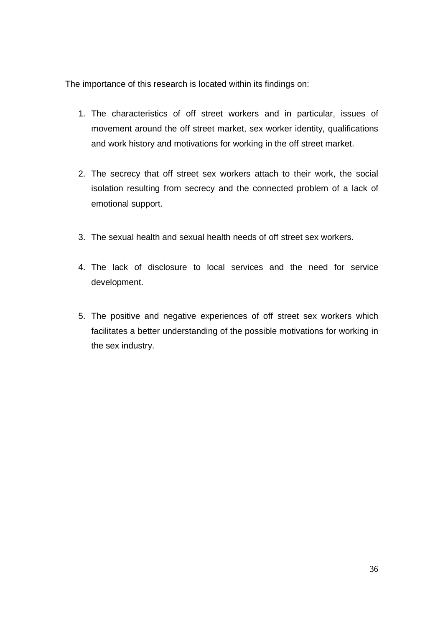The importance of this research is located within its findings on:

- 1. The characteristics of off street workers and in particular, issues of movement around the off street market, sex worker identity, qualifications and work history and motivations for working in the off street market.
- 2. The secrecy that off street sex workers attach to their work, the social isolation resulting from secrecy and the connected problem of a lack of emotional support.
- 3. The sexual health and sexual health needs of off street sex workers.
- 4. The lack of disclosure to local services and the need for service development.
- 5. The positive and negative experiences of off street sex workers which facilitates a better understanding of the possible motivations for working in the sex industry.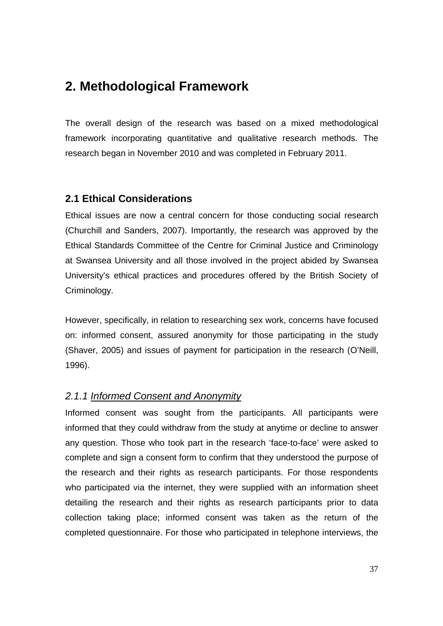# **2. Methodological Framework**

The overall design of the research was based on a mixed methodological framework incorporating quantitative and qualitative research methods. The research began in November 2010 and was completed in February 2011.

### **2.1 Ethical Considerations**

Ethical issues are now a central concern for those conducting social research (Churchill and Sanders, 2007). Importantly, the research was approved by the Ethical Standards Committee of the Centre for Criminal Justice and Criminology at Swansea University and all those involved in the project abided by Swansea University's ethical practices and procedures offered by the British Society of Criminology.

However, specifically, in relation to researching sex work, concerns have focused on: informed consent, assured anonymity for those participating in the study (Shaver, 2005) and issues of payment for participation in the research (O'Neill, 1996).

#### 2.1.1 Informed Consent and Anonymity

Informed consent was sought from the participants. All participants were informed that they could withdraw from the study at anytime or decline to answer any question. Those who took part in the research 'face-to-face' were asked to complete and sign a consent form to confirm that they understood the purpose of the research and their rights as research participants. For those respondents who participated via the internet, they were supplied with an information sheet detailing the research and their rights as research participants prior to data collection taking place; informed consent was taken as the return of the completed questionnaire. For those who participated in telephone interviews, the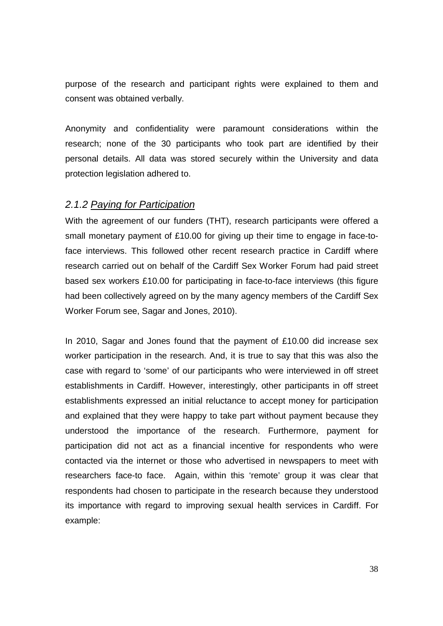purpose of the research and participant rights were explained to them and consent was obtained verbally.

Anonymity and confidentiality were paramount considerations within the research; none of the 30 participants who took part are identified by their personal details. All data was stored securely within the University and data protection legislation adhered to.

#### 2.1.2 Paying for Participation

With the agreement of our funders (THT), research participants were offered a small monetary payment of £10.00 for giving up their time to engage in face-toface interviews. This followed other recent research practice in Cardiff where research carried out on behalf of the Cardiff Sex Worker Forum had paid street based sex workers £10.00 for participating in face-to-face interviews (this figure had been collectively agreed on by the many agency members of the Cardiff Sex Worker Forum see, Sagar and Jones, 2010).

In 2010, Sagar and Jones found that the payment of £10.00 did increase sex worker participation in the research. And, it is true to say that this was also the case with regard to 'some' of our participants who were interviewed in off street establishments in Cardiff. However, interestingly, other participants in off street establishments expressed an initial reluctance to accept money for participation and explained that they were happy to take part without payment because they understood the importance of the research. Furthermore, payment for participation did not act as a financial incentive for respondents who were contacted via the internet or those who advertised in newspapers to meet with researchers face-to face. Again, within this 'remote' group it was clear that respondents had chosen to participate in the research because they understood its importance with regard to improving sexual health services in Cardiff. For example: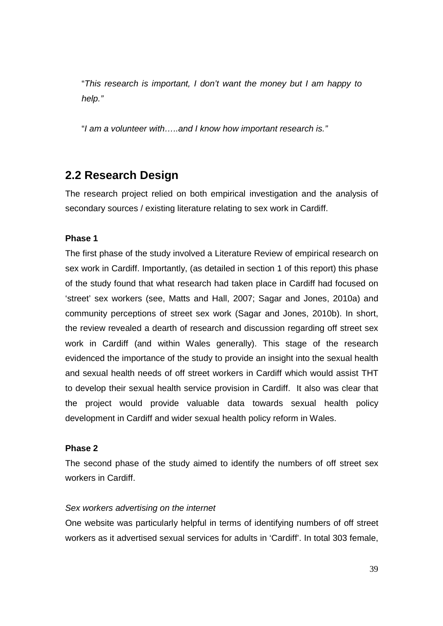"This research is important, I don't want the money but I am happy to help."

"I am a volunteer with…..and I know how important research is."

### **2.2 Research Design**

The research project relied on both empirical investigation and the analysis of secondary sources / existing literature relating to sex work in Cardiff.

#### **Phase 1**

The first phase of the study involved a Literature Review of empirical research on sex work in Cardiff. Importantly, (as detailed in section 1 of this report) this phase of the study found that what research had taken place in Cardiff had focused on 'street' sex workers (see, Matts and Hall, 2007; Sagar and Jones, 2010a) and community perceptions of street sex work (Sagar and Jones, 2010b). In short, the review revealed a dearth of research and discussion regarding off street sex work in Cardiff (and within Wales generally). This stage of the research evidenced the importance of the study to provide an insight into the sexual health and sexual health needs of off street workers in Cardiff which would assist THT to develop their sexual health service provision in Cardiff. It also was clear that the project would provide valuable data towards sexual health policy development in Cardiff and wider sexual health policy reform in Wales.

#### **Phase 2**

The second phase of the study aimed to identify the numbers of off street sex workers in Cardiff.

#### Sex workers advertising on the internet

One website was particularly helpful in terms of identifying numbers of off street workers as it advertised sexual services for adults in 'Cardiff'. In total 303 female,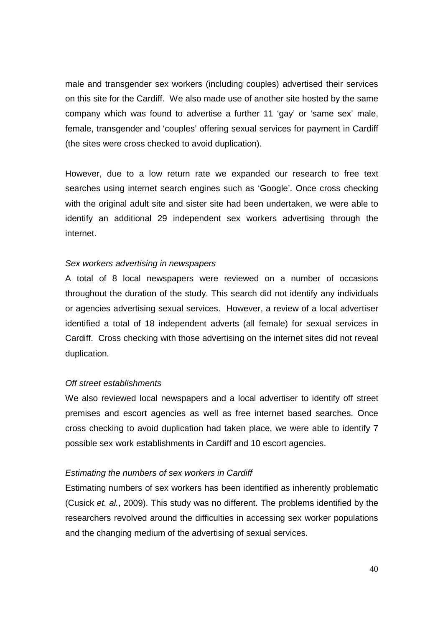male and transgender sex workers (including couples) advertised their services on this site for the Cardiff. We also made use of another site hosted by the same company which was found to advertise a further 11 'gay' or 'same sex' male, female, transgender and 'couples' offering sexual services for payment in Cardiff (the sites were cross checked to avoid duplication).

However, due to a low return rate we expanded our research to free text searches using internet search engines such as 'Google'. Once cross checking with the original adult site and sister site had been undertaken, we were able to identify an additional 29 independent sex workers advertising through the internet.

#### Sex workers advertising in newspapers

A total of 8 local newspapers were reviewed on a number of occasions throughout the duration of the study. This search did not identify any individuals or agencies advertising sexual services. However, a review of a local advertiser identified a total of 18 independent adverts (all female) for sexual services in Cardiff. Cross checking with those advertising on the internet sites did not reveal duplication.

#### Off street establishments

We also reviewed local newspapers and a local advertiser to identify off street premises and escort agencies as well as free internet based searches. Once cross checking to avoid duplication had taken place, we were able to identify 7 possible sex work establishments in Cardiff and 10 escort agencies.

#### Estimating the numbers of sex workers in Cardiff

Estimating numbers of sex workers has been identified as inherently problematic (Cusick et. al., 2009). This study was no different. The problems identified by the researchers revolved around the difficulties in accessing sex worker populations and the changing medium of the advertising of sexual services.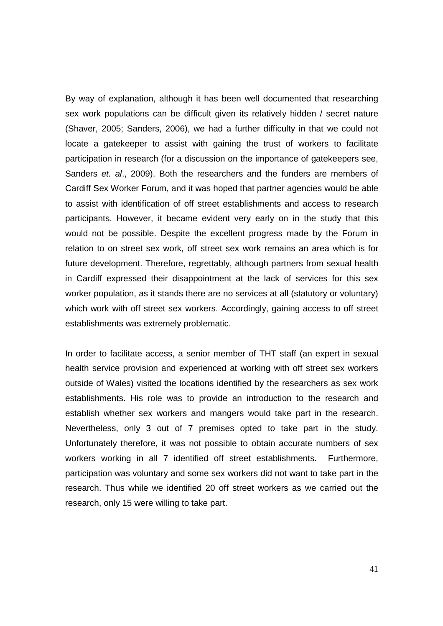By way of explanation, although it has been well documented that researching sex work populations can be difficult given its relatively hidden / secret nature (Shaver, 2005; Sanders, 2006), we had a further difficulty in that we could not locate a gatekeeper to assist with gaining the trust of workers to facilitate participation in research (for a discussion on the importance of gatekeepers see, Sanders et. al., 2009). Both the researchers and the funders are members of Cardiff Sex Worker Forum, and it was hoped that partner agencies would be able to assist with identification of off street establishments and access to research participants. However, it became evident very early on in the study that this would not be possible. Despite the excellent progress made by the Forum in relation to on street sex work, off street sex work remains an area which is for future development. Therefore, regrettably, although partners from sexual health in Cardiff expressed their disappointment at the lack of services for this sex worker population, as it stands there are no services at all (statutory or voluntary) which work with off street sex workers. Accordingly, gaining access to off street establishments was extremely problematic.

In order to facilitate access, a senior member of THT staff (an expert in sexual health service provision and experienced at working with off street sex workers outside of Wales) visited the locations identified by the researchers as sex work establishments. His role was to provide an introduction to the research and establish whether sex workers and mangers would take part in the research. Nevertheless, only 3 out of 7 premises opted to take part in the study. Unfortunately therefore, it was not possible to obtain accurate numbers of sex workers working in all 7 identified off street establishments. Furthermore, participation was voluntary and some sex workers did not want to take part in the research. Thus while we identified 20 off street workers as we carried out the research, only 15 were willing to take part.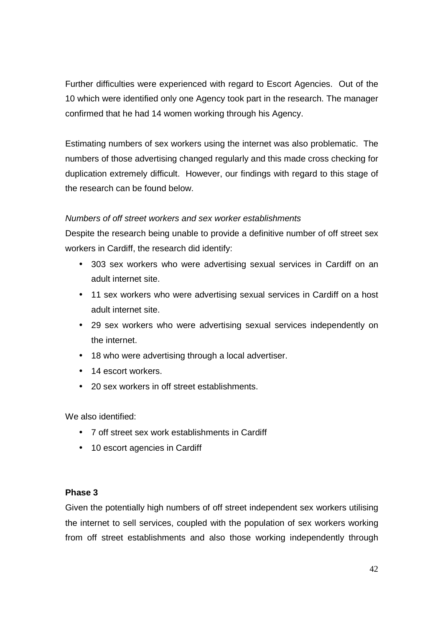Further difficulties were experienced with regard to Escort Agencies. Out of the 10 which were identified only one Agency took part in the research. The manager confirmed that he had 14 women working through his Agency.

Estimating numbers of sex workers using the internet was also problematic. The numbers of those advertising changed regularly and this made cross checking for duplication extremely difficult. However, our findings with regard to this stage of the research can be found below.

#### Numbers of off street workers and sex worker establishments

Despite the research being unable to provide a definitive number of off street sex workers in Cardiff, the research did identify:

- 303 sex workers who were advertising sexual services in Cardiff on an adult internet site.
- 11 sex workers who were advertising sexual services in Cardiff on a host adult internet site.
- 29 sex workers who were advertising sexual services independently on the internet.
- 18 who were advertising through a local advertiser.
- 14 escort workers.
- 20 sex workers in off street establishments.

We also identified:

- 7 off street sex work establishments in Cardiff
- 10 escort agencies in Cardiff

#### **Phase 3**

Given the potentially high numbers of off street independent sex workers utilising the internet to sell services, coupled with the population of sex workers working from off street establishments and also those working independently through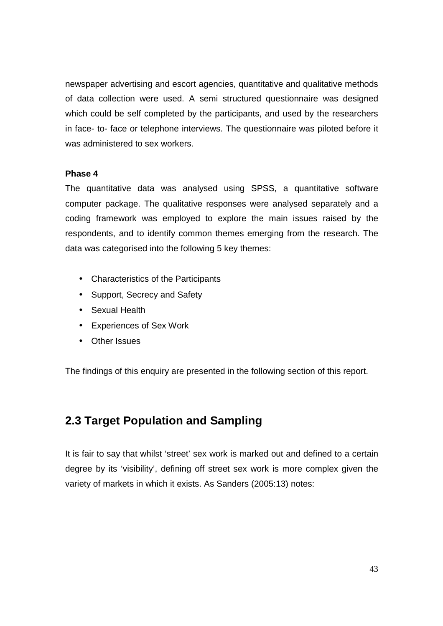newspaper advertising and escort agencies, quantitative and qualitative methods of data collection were used. A semi structured questionnaire was designed which could be self completed by the participants, and used by the researchers in face- to- face or telephone interviews. The questionnaire was piloted before it was administered to sex workers.

#### **Phase 4**

The quantitative data was analysed using SPSS, a quantitative software computer package. The qualitative responses were analysed separately and a coding framework was employed to explore the main issues raised by the respondents, and to identify common themes emerging from the research. The data was categorised into the following 5 key themes:

- Characteristics of the Participants
- Support, Secrecy and Safety
- Sexual Health
- Experiences of Sex Work
- Other Issues

The findings of this enquiry are presented in the following section of this report.

## **2.3 Target Population and Sampling**

It is fair to say that whilst 'street' sex work is marked out and defined to a certain degree by its 'visibility', defining off street sex work is more complex given the variety of markets in which it exists. As Sanders (2005:13) notes: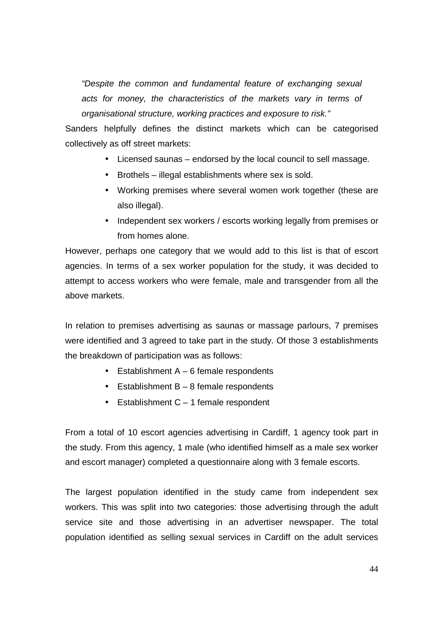"Despite the common and fundamental feature of exchanging sexual acts for money, the characteristics of the markets vary in terms of organisational structure, working practices and exposure to risk."

Sanders helpfully defines the distinct markets which can be categorised collectively as off street markets:

- Licensed saunas endorsed by the local council to sell massage.
- Brothels illegal establishments where sex is sold.
- Working premises where several women work together (these are also illegal).
- Independent sex workers / escorts working legally from premises or from homes alone.

However, perhaps one category that we would add to this list is that of escort agencies. In terms of a sex worker population for the study, it was decided to attempt to access workers who were female, male and transgender from all the above markets.

In relation to premises advertising as saunas or massage parlours, 7 premises were identified and 3 agreed to take part in the study. Of those 3 establishments the breakdown of participation was as follows:

- Establishment  $A 6$  female respondents
- **•** Establishment  $B 8$  female respondents
- $\bullet$  Establishment C 1 female respondent

From a total of 10 escort agencies advertising in Cardiff, 1 agency took part in the study. From this agency, 1 male (who identified himself as a male sex worker and escort manager) completed a questionnaire along with 3 female escorts.

The largest population identified in the study came from independent sex workers. This was split into two categories: those advertising through the adult service site and those advertising in an advertiser newspaper. The total population identified as selling sexual services in Cardiff on the adult services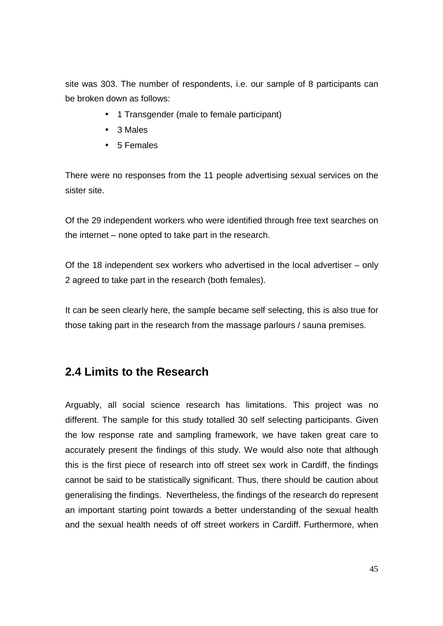site was 303. The number of respondents, i.e. our sample of 8 participants can be broken down as follows:

- 1 Transgender (male to female participant)
- 3 Males
- 5 Females

There were no responses from the 11 people advertising sexual services on the sister site.

Of the 29 independent workers who were identified through free text searches on the internet – none opted to take part in the research.

Of the 18 independent sex workers who advertised in the local advertiser – only 2 agreed to take part in the research (both females).

It can be seen clearly here, the sample became self selecting, this is also true for those taking part in the research from the massage parlours / sauna premises.

### **2.4 Limits to the Research**

Arguably, all social science research has limitations. This project was no different. The sample for this study totalled 30 self selecting participants. Given the low response rate and sampling framework, we have taken great care to accurately present the findings of this study. We would also note that although this is the first piece of research into off street sex work in Cardiff, the findings cannot be said to be statistically significant. Thus, there should be caution about generalising the findings. Nevertheless, the findings of the research do represent an important starting point towards a better understanding of the sexual health and the sexual health needs of off street workers in Cardiff. Furthermore, when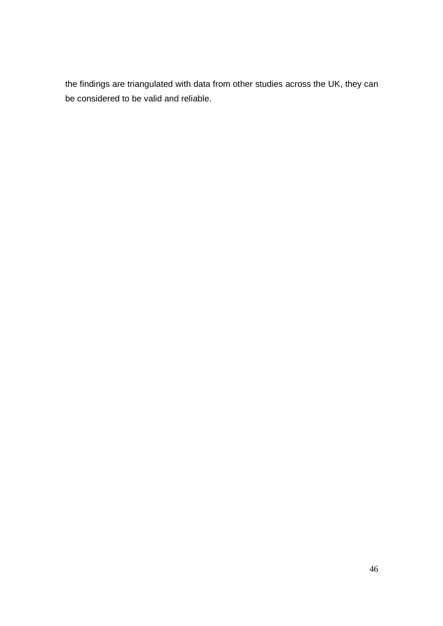the findings are triangulated with data from other studies across the UK, they can be considered to be valid and reliable.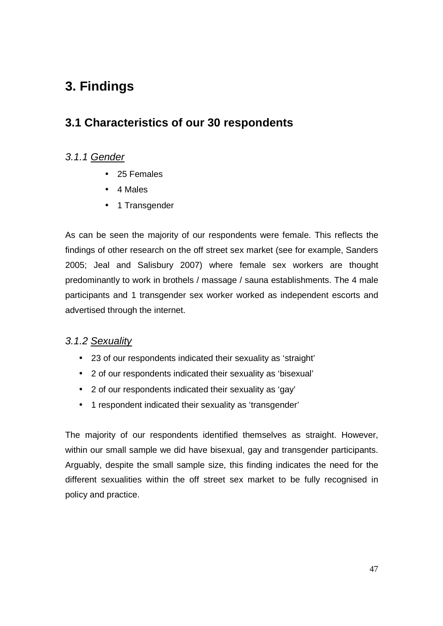# **3. Findings**

# **3.1 Characteristics of our 30 respondents**

#### 3.1.1 Gender

- 25 Females
- 4 Males
- 1 Transgender

As can be seen the majority of our respondents were female. This reflects the findings of other research on the off street sex market (see for example, Sanders 2005; Jeal and Salisbury 2007) where female sex workers are thought predominantly to work in brothels / massage / sauna establishments. The 4 male participants and 1 transgender sex worker worked as independent escorts and advertised through the internet.

### 3.1.2 Sexuality

- 23 of our respondents indicated their sexuality as 'straight'
- 2 of our respondents indicated their sexuality as 'bisexual'
- 2 of our respondents indicated their sexuality as 'gay'
- 1 respondent indicated their sexuality as 'transgender'

The majority of our respondents identified themselves as straight. However, within our small sample we did have bisexual, gay and transgender participants. Arguably, despite the small sample size, this finding indicates the need for the different sexualities within the off street sex market to be fully recognised in policy and practice.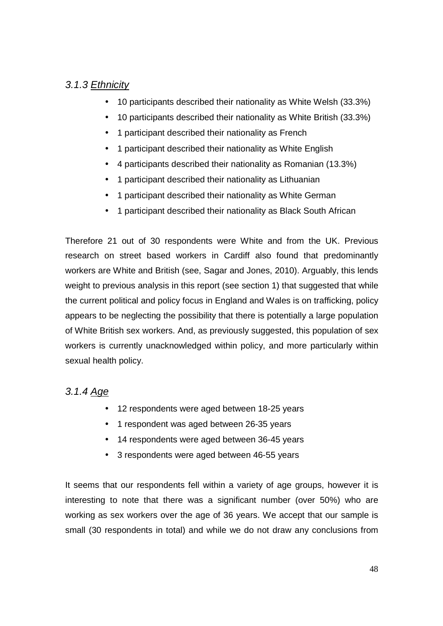### 3.1.3 Ethnicity

- 10 participants described their nationality as White Welsh (33.3%)
- 10 participants described their nationality as White British (33.3%)
- 1 participant described their nationality as French
- 1 participant described their nationality as White English
- 4 participants described their nationality as Romanian (13.3%)
- 1 participant described their nationality as Lithuanian
- 1 participant described their nationality as White German
- 1 participant described their nationality as Black South African

Therefore 21 out of 30 respondents were White and from the UK. Previous research on street based workers in Cardiff also found that predominantly workers are White and British (see, Sagar and Jones, 2010). Arguably, this lends weight to previous analysis in this report (see section 1) that suggested that while the current political and policy focus in England and Wales is on trafficking, policy appears to be neglecting the possibility that there is potentially a large population of White British sex workers. And, as previously suggested, this population of sex workers is currently unacknowledged within policy, and more particularly within sexual health policy.

### 3.1.4 Age

- 12 respondents were aged between 18-25 years
- 1 respondent was aged between 26-35 years
- 14 respondents were aged between 36-45 years
- 3 respondents were aged between 46-55 years

It seems that our respondents fell within a variety of age groups, however it is interesting to note that there was a significant number (over 50%) who are working as sex workers over the age of 36 years. We accept that our sample is small (30 respondents in total) and while we do not draw any conclusions from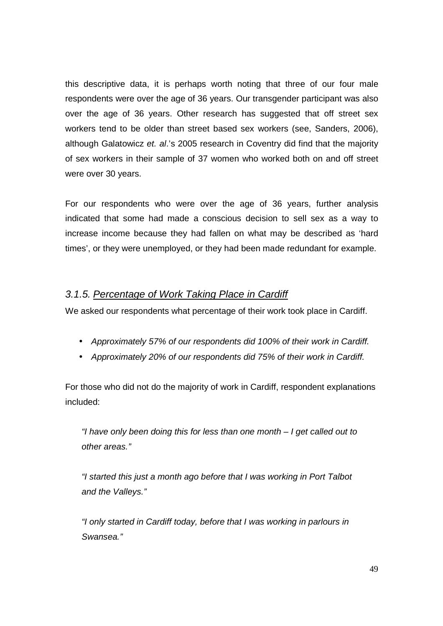this descriptive data, it is perhaps worth noting that three of our four male respondents were over the age of 36 years. Our transgender participant was also over the age of 36 years. Other research has suggested that off street sex workers tend to be older than street based sex workers (see, Sanders, 2006), although Galatowicz et. al.'s 2005 research in Coventry did find that the majority of sex workers in their sample of 37 women who worked both on and off street were over 30 years.

For our respondents who were over the age of 36 years, further analysis indicated that some had made a conscious decision to sell sex as a way to increase income because they had fallen on what may be described as 'hard times', or they were unemployed, or they had been made redundant for example.

### 3.1.5. Percentage of Work Taking Place in Cardiff

We asked our respondents what percentage of their work took place in Cardiff.

- Approximately 57% of our respondents did 100% of their work in Cardiff.
- Approximately 20% of our respondents did 75% of their work in Cardiff.

For those who did not do the majority of work in Cardiff, respondent explanations included:

"I have only been doing this for less than one month  $-1$  get called out to other areas."

"I started this just a month ago before that I was working in Port Talbot and the Valleys."

"I only started in Cardiff today, before that I was working in parlours in Swansea."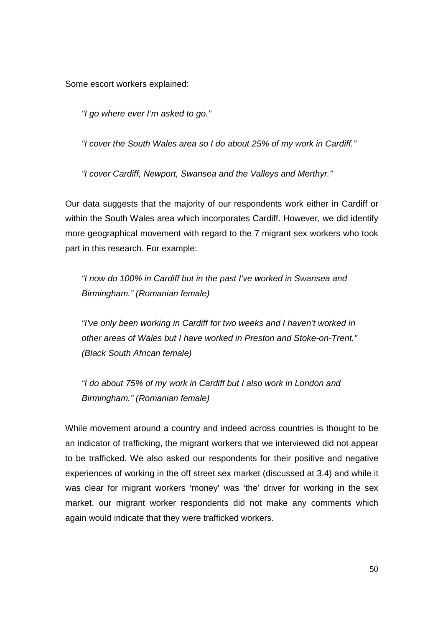Some escort workers explained:

"I go where ever I'm asked to go."

"I cover the South Wales area so I do about 25% of my work in Cardiff."

"I cover Cardiff, Newport, Swansea and the Valleys and Merthyr."

Our data suggests that the majority of our respondents work either in Cardiff or within the South Wales area which incorporates Cardiff. However, we did identify more geographical movement with regard to the 7 migrant sex workers who took part in this research. For example:

"I now do 100% in Cardiff but in the past I've worked in Swansea and Birmingham." (Romanian female)

"I've only been working in Cardiff for two weeks and I haven't worked in other areas of Wales but I have worked in Preston and Stoke-on-Trent." (Black South African female)

"I do about 75% of my work in Cardiff but I also work in London and Birmingham." (Romanian female)

While movement around a country and indeed across countries is thought to be an indicator of trafficking, the migrant workers that we interviewed did not appear to be trafficked. We also asked our respondents for their positive and negative experiences of working in the off street sex market (discussed at 3.4) and while it was clear for migrant workers 'money' was 'the' driver for working in the sex market, our migrant worker respondents did not make any comments which again would indicate that they were trafficked workers.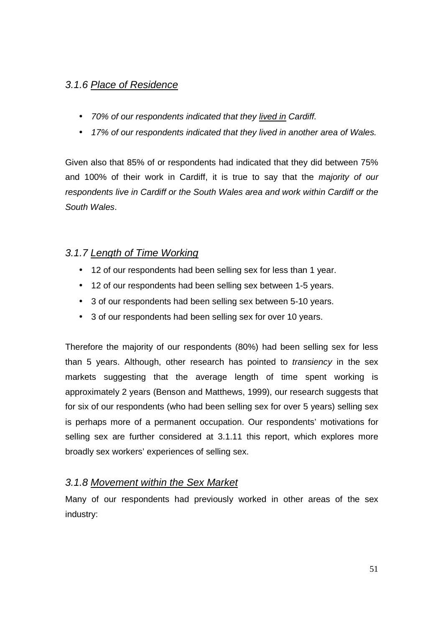### 3.1.6 Place of Residence

- 70% of our respondents indicated that they lived in Cardiff.
- 17% of our respondents indicated that they lived in another area of Wales.

Given also that 85% of or respondents had indicated that they did between 75% and 100% of their work in Cardiff, it is true to say that the majority of our respondents live in Cardiff or the South Wales area and work within Cardiff or the South Wales.

### 3.1.7 Length of Time Working

- 12 of our respondents had been selling sex for less than 1 year.
- 12 of our respondents had been selling sex between 1-5 years.
- 3 of our respondents had been selling sex between 5-10 years.
- 3 of our respondents had been selling sex for over 10 years.

Therefore the majority of our respondents (80%) had been selling sex for less than 5 years. Although, other research has pointed to *transiency* in the sex markets suggesting that the average length of time spent working is approximately 2 years (Benson and Matthews, 1999), our research suggests that for six of our respondents (who had been selling sex for over 5 years) selling sex is perhaps more of a permanent occupation. Our respondents' motivations for selling sex are further considered at 3.1.11 this report, which explores more broadly sex workers' experiences of selling sex.

### 3.1.8 Movement within the Sex Market

Many of our respondents had previously worked in other areas of the sex industry: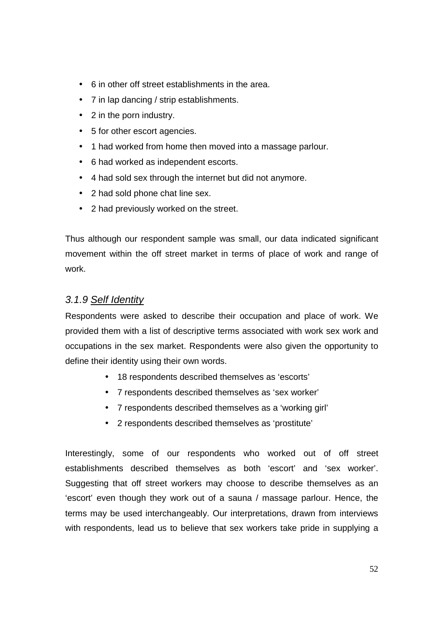- 6 in other off street establishments in the area.
- 7 in lap dancing / strip establishments.
- 2 in the porn industry.
- 5 for other escort agencies.
- 1 had worked from home then moved into a massage parlour.
- 6 had worked as independent escorts.
- 4 had sold sex through the internet but did not anymore.
- 2 had sold phone chat line sex.
- 2 had previously worked on the street.

Thus although our respondent sample was small, our data indicated significant movement within the off street market in terms of place of work and range of work.

#### 3.1.9 Self Identity

Respondents were asked to describe their occupation and place of work. We provided them with a list of descriptive terms associated with work sex work and occupations in the sex market. Respondents were also given the opportunity to define their identity using their own words.

- 18 respondents described themselves as 'escorts'
- 7 respondents described themselves as 'sex worker'
- 7 respondents described themselves as a 'working girl'
- 2 respondents described themselves as 'prostitute'

Interestingly, some of our respondents who worked out of off street establishments described themselves as both 'escort' and 'sex worker'. Suggesting that off street workers may choose to describe themselves as an 'escort' even though they work out of a sauna / massage parlour. Hence, the terms may be used interchangeably. Our interpretations, drawn from interviews with respondents, lead us to believe that sex workers take pride in supplying a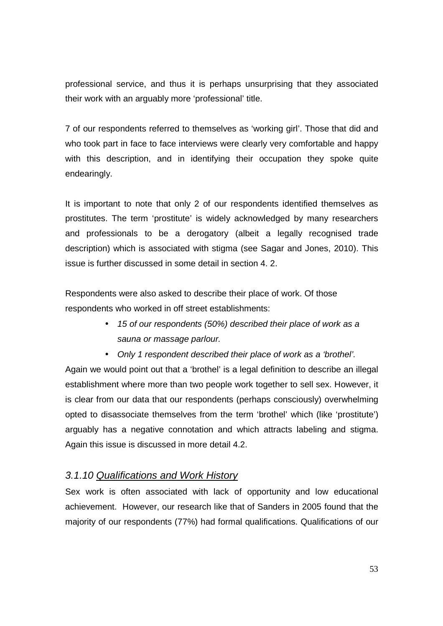professional service, and thus it is perhaps unsurprising that they associated their work with an arguably more 'professional' title.

7 of our respondents referred to themselves as 'working girl'. Those that did and who took part in face to face interviews were clearly very comfortable and happy with this description, and in identifying their occupation they spoke quite endearingly.

It is important to note that only 2 of our respondents identified themselves as prostitutes. The term 'prostitute' is widely acknowledged by many researchers and professionals to be a derogatory (albeit a legally recognised trade description) which is associated with stigma (see Sagar and Jones, 2010). This issue is further discussed in some detail in section 4. 2.

Respondents were also asked to describe their place of work. Of those respondents who worked in off street establishments:

- 15 of our respondents (50%) described their place of work as a sauna or massage parlour.
- Only 1 respondent described their place of work as a 'brothel'.

Again we would point out that a 'brothel' is a legal definition to describe an illegal establishment where more than two people work together to sell sex. However, it is clear from our data that our respondents (perhaps consciously) overwhelming opted to disassociate themselves from the term 'brothel' which (like 'prostitute') arguably has a negative connotation and which attracts labeling and stigma. Again this issue is discussed in more detail 4.2.

#### 3.1.10 Qualifications and Work History

Sex work is often associated with lack of opportunity and low educational achievement. However, our research like that of Sanders in 2005 found that the majority of our respondents (77%) had formal qualifications. Qualifications of our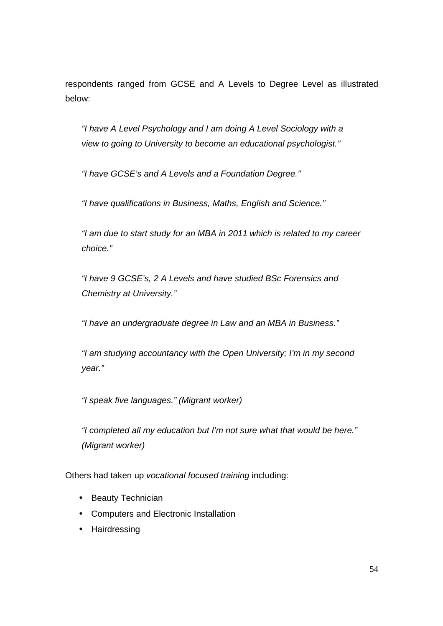respondents ranged from GCSE and A Levels to Degree Level as illustrated below:

"I have A Level Psychology and I am doing A Level Sociology with a view to going to University to become an educational psychologist."

"I have GCSE's and A Levels and a Foundation Degree."

"I have qualifications in Business, Maths, English and Science."

"I am due to start study for an MBA in 2011 which is related to my career choice."

"I have 9 GCSE's, 2 A Levels and have studied BSc Forensics and Chemistry at University."

"I have an undergraduate degree in Law and an MBA in Business."

"I am studying accountancy with the Open University; I'm in my second year."

"I speak five languages." (Migrant worker)

"I completed all my education but I'm not sure what that would be here." (Migrant worker)

Others had taken up vocational focused training including:

- Beauty Technician
- Computers and Electronic Installation
- Hairdressing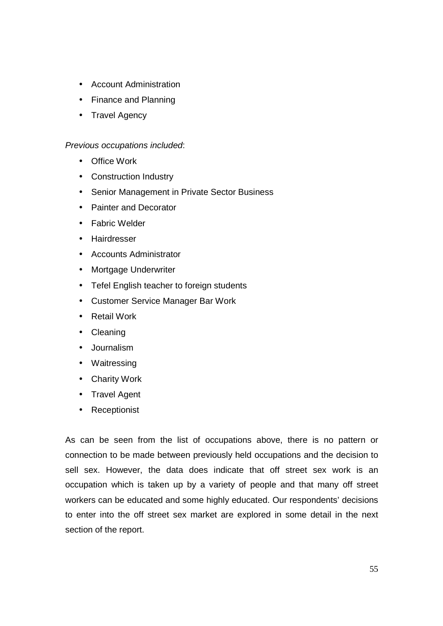- Account Administration
- Finance and Planning
- Travel Agency

#### Previous occupations included:

- Office Work
- Construction Industry
- Senior Management in Private Sector Business
- Painter and Decorator
- Fabric Welder
- Hairdresser
- Accounts Administrator
- Mortgage Underwriter
- Tefel English teacher to foreign students
- Customer Service Manager Bar Work
- Retail Work
- Cleaning
- Journalism
- Waitressing
- Charity Work
- Travel Agent
- Receptionist

As can be seen from the list of occupations above, there is no pattern or connection to be made between previously held occupations and the decision to sell sex. However, the data does indicate that off street sex work is an occupation which is taken up by a variety of people and that many off street workers can be educated and some highly educated. Our respondents' decisions to enter into the off street sex market are explored in some detail in the next section of the report.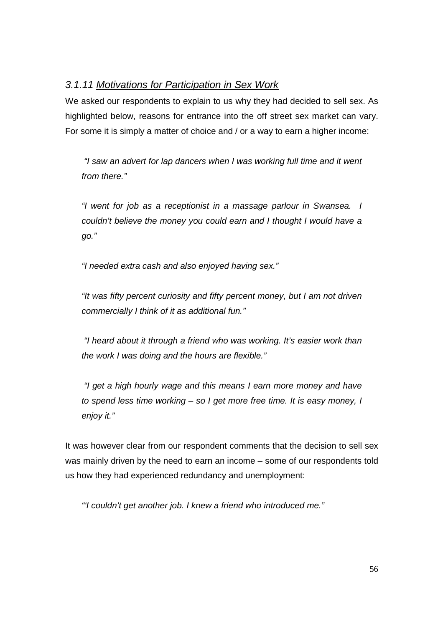### 3.1.11 Motivations for Participation in Sex Work

We asked our respondents to explain to us why they had decided to sell sex. As highlighted below, reasons for entrance into the off street sex market can vary. For some it is simply a matter of choice and / or a way to earn a higher income:

 "I saw an advert for lap dancers when I was working full time and it went from there."

"I went for job as a receptionist in a massage parlour in Swansea. I couldn't believe the money you could earn and I thought I would have a go."

"I needed extra cash and also enjoyed having sex."

"It was fifty percent curiosity and fifty percent money, but I am not driven commercially I think of it as additional fun."

 "I heard about it through a friend who was working. It's easier work than the work I was doing and the hours are flexible."

 "I get a high hourly wage and this means I earn more money and have to spend less time working – so I get more free time. It is easy money, I enjoy it."

It was however clear from our respondent comments that the decision to sell sex was mainly driven by the need to earn an income – some of our respondents told us how they had experienced redundancy and unemployment:

"'I couldn't get another job. I knew a friend who introduced me."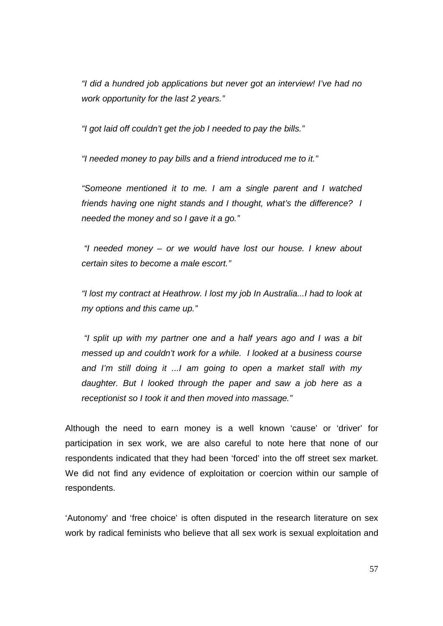"I did a hundred job applications but never got an interview! I've had no work opportunity for the last 2 years."

"I got laid off couldn't get the job I needed to pay the bills."

"I needed money to pay bills and a friend introduced me to it."

"Someone mentioned it to me. I am a single parent and I watched friends having one night stands and I thought, what's the difference? I needed the money and so I gave it a go."

 "I needed money – or we would have lost our house. I knew about certain sites to become a male escort."

"I lost my contract at Heathrow. I lost my job In Australia...I had to look at my options and this came up."

 "I split up with my partner one and a half years ago and I was a bit messed up and couldn't work for a while. I looked at a business course and I'm still doing it ...I am going to open a market stall with my daughter. But I looked through the paper and saw a job here as a receptionist so I took it and then moved into massage."

Although the need to earn money is a well known 'cause' or 'driver' for participation in sex work, we are also careful to note here that none of our respondents indicated that they had been 'forced' into the off street sex market. We did not find any evidence of exploitation or coercion within our sample of respondents.

'Autonomy' and 'free choice' is often disputed in the research literature on sex work by radical feminists who believe that all sex work is sexual exploitation and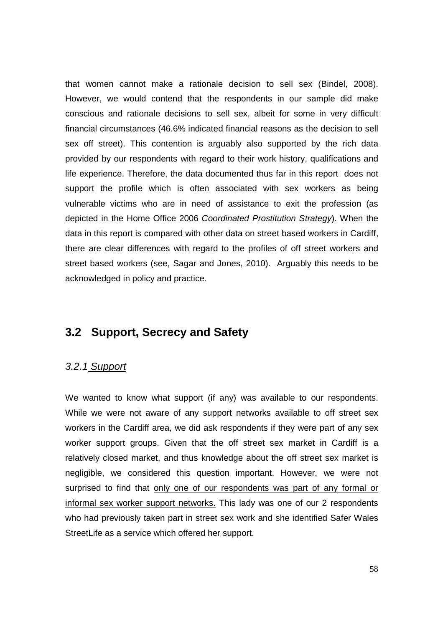that women cannot make a rationale decision to sell sex (Bindel, 2008). However, we would contend that the respondents in our sample did make conscious and rationale decisions to sell sex, albeit for some in very difficult financial circumstances (46.6% indicated financial reasons as the decision to sell sex off street). This contention is arguably also supported by the rich data provided by our respondents with regard to their work history, qualifications and life experience. Therefore, the data documented thus far in this report does not support the profile which is often associated with sex workers as being vulnerable victims who are in need of assistance to exit the profession (as depicted in the Home Office 2006 Coordinated Prostitution Strategy). When the data in this report is compared with other data on street based workers in Cardiff, there are clear differences with regard to the profiles of off street workers and street based workers (see, Sagar and Jones, 2010). Arguably this needs to be acknowledged in policy and practice.

### **3.2 Support, Secrecy and Safety**

#### 3.2.1 Support

We wanted to know what support (if any) was available to our respondents. While we were not aware of any support networks available to off street sex workers in the Cardiff area, we did ask respondents if they were part of any sex worker support groups. Given that the off street sex market in Cardiff is a relatively closed market, and thus knowledge about the off street sex market is negligible, we considered this question important. However, we were not surprised to find that only one of our respondents was part of any formal or informal sex worker support networks. This lady was one of our 2 respondents who had previously taken part in street sex work and she identified Safer Wales StreetLife as a service which offered her support.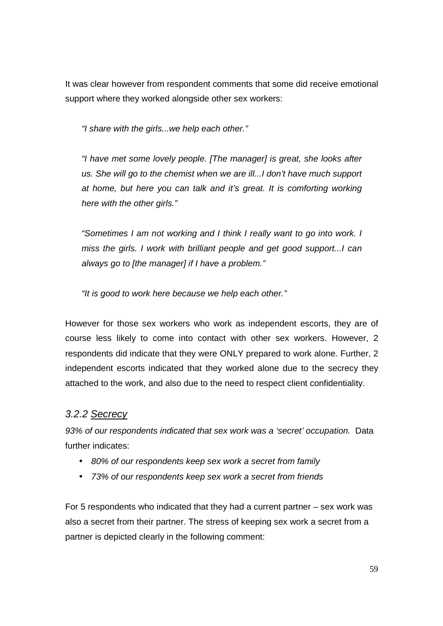It was clear however from respondent comments that some did receive emotional support where they worked alongside other sex workers:

"I share with the girls...we help each other."

"I have met some lovely people. [The manager] is great, she looks after us. She will go to the chemist when we are ill...I don't have much support at home, but here you can talk and it's great. It is comforting working here with the other girls."

"Sometimes I am not working and I think I really want to go into work. I miss the girls. I work with brilliant people and get good support...I can always go to [the manager] if I have a problem."

"It is good to work here because we help each other."

However for those sex workers who work as independent escorts, they are of course less likely to come into contact with other sex workers. However, 2 respondents did indicate that they were ONLY prepared to work alone. Further, 2 independent escorts indicated that they worked alone due to the secrecy they attached to the work, and also due to the need to respect client confidentiality.

### 3.2.2 Secrecy

93% of our respondents indicated that sex work was a 'secret' occupation. Data further indicates:

- 80% of our respondents keep sex work a secret from family
- 73% of our respondents keep sex work a secret from friends

For 5 respondents who indicated that they had a current partner – sex work was also a secret from their partner. The stress of keeping sex work a secret from a partner is depicted clearly in the following comment: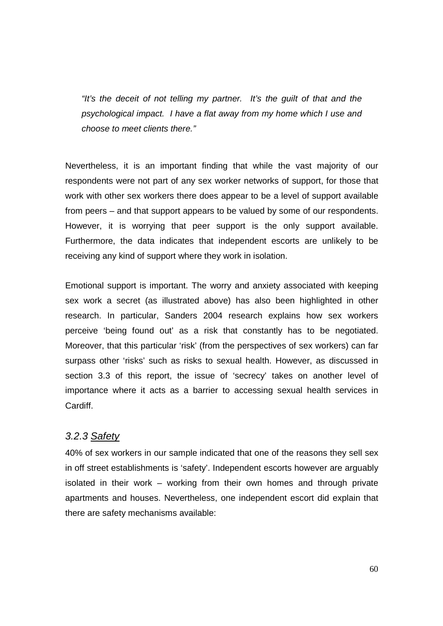"It's the deceit of not telling my partner. It's the guilt of that and the psychological impact. I have a flat away from my home which I use and choose to meet clients there."

Nevertheless, it is an important finding that while the vast majority of our respondents were not part of any sex worker networks of support, for those that work with other sex workers there does appear to be a level of support available from peers – and that support appears to be valued by some of our respondents. However, it is worrying that peer support is the only support available. Furthermore, the data indicates that independent escorts are unlikely to be receiving any kind of support where they work in isolation.

Emotional support is important. The worry and anxiety associated with keeping sex work a secret (as illustrated above) has also been highlighted in other research. In particular, Sanders 2004 research explains how sex workers perceive 'being found out' as a risk that constantly has to be negotiated. Moreover, that this particular 'risk' (from the perspectives of sex workers) can far surpass other 'risks' such as risks to sexual health. However, as discussed in section 3.3 of this report, the issue of 'secrecy' takes on another level of importance where it acts as a barrier to accessing sexual health services in Cardiff.

#### 3.2.3 Safety

40% of sex workers in our sample indicated that one of the reasons they sell sex in off street establishments is 'safety'. Independent escorts however are arguably isolated in their work – working from their own homes and through private apartments and houses. Nevertheless, one independent escort did explain that there are safety mechanisms available: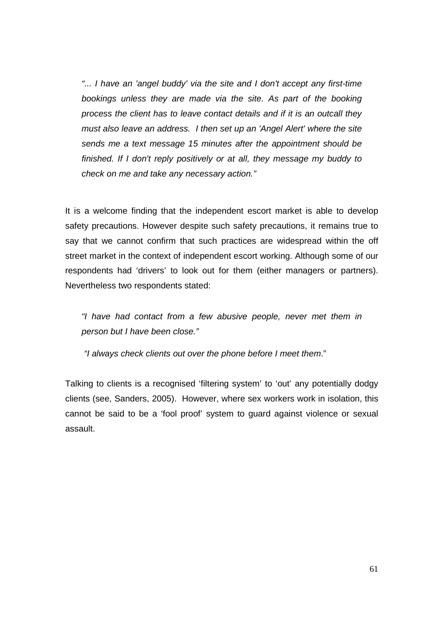"... I have an 'angel buddy' via the site and I don't accept any first-time bookings unless they are made via the site. As part of the booking process the client has to leave contact details and if it is an outcall they must also leave an address. I then set up an 'Angel Alert' where the site sends me a text message 15 minutes after the appointment should be finished. If I don't reply positively or at all, they message my buddy to check on me and take any necessary action."

It is a welcome finding that the independent escort market is able to develop safety precautions. However despite such safety precautions, it remains true to say that we cannot confirm that such practices are widespread within the off street market in the context of independent escort working. Although some of our respondents had 'drivers' to look out for them (either managers or partners). Nevertheless two respondents stated:

"I have had contact from a few abusive people, never met them in person but I have been close."

"I always check clients out over the phone before I meet them."

Talking to clients is a recognised 'filtering system' to 'out' any potentially dodgy clients (see, Sanders, 2005). However, where sex workers work in isolation, this cannot be said to be a 'fool proof' system to guard against violence or sexual assault.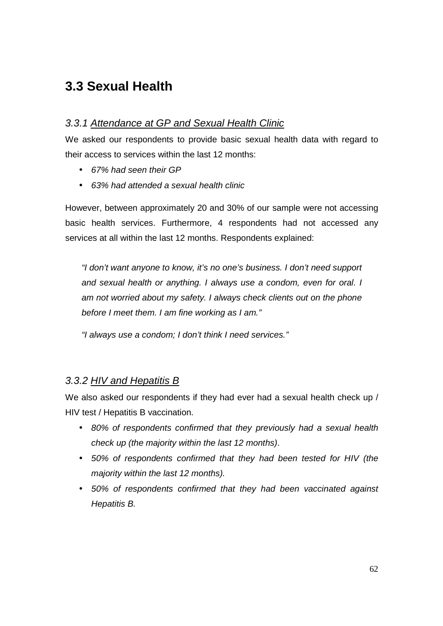# **3.3 Sexual Health**

### 3.3.1 Attendance at GP and Sexual Health Clinic

We asked our respondents to provide basic sexual health data with regard to their access to services within the last 12 months:

- 67% had seen their GP
- 63% had attended a sexual health clinic

However, between approximately 20 and 30% of our sample were not accessing basic health services. Furthermore, 4 respondents had not accessed any services at all within the last 12 months. Respondents explained:

"I don't want anyone to know, it's no one's business. I don't need support and sexual health or anything. I always use a condom, even for oral. I am not worried about my safety. I always check clients out on the phone before I meet them. I am fine working as I am."

"I always use a condom; I don't think I need services."

### 3.3.2 HIV and Hepatitis B

We also asked our respondents if they had ever had a sexual health check up / HIV test / Hepatitis B vaccination.

- 80% of respondents confirmed that they previously had a sexual health check up (the majority within the last 12 months).
- 50% of respondents confirmed that they had been tested for HIV (the majority within the last 12 months).
- 50% of respondents confirmed that they had been vaccinated against Hepatitis B.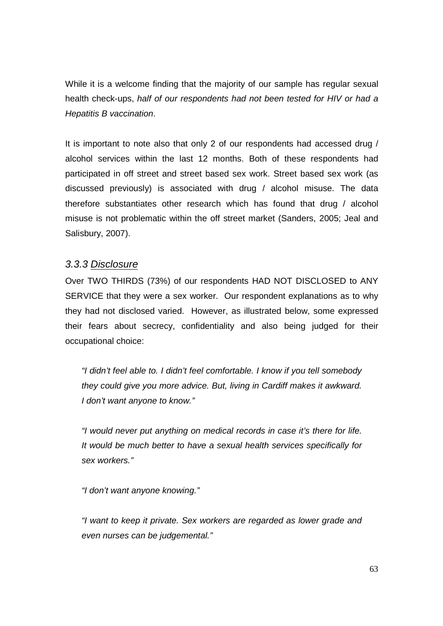While it is a welcome finding that the majority of our sample has regular sexual health check-ups, half of our respondents had not been tested for HIV or had a Hepatitis B vaccination.

It is important to note also that only 2 of our respondents had accessed drug / alcohol services within the last 12 months. Both of these respondents had participated in off street and street based sex work. Street based sex work (as discussed previously) is associated with drug / alcohol misuse. The data therefore substantiates other research which has found that drug / alcohol misuse is not problematic within the off street market (Sanders, 2005; Jeal and Salisbury, 2007).

#### 3.3.3 Disclosure

Over TWO THIRDS (73%) of our respondents HAD NOT DISCLOSED to ANY SERVICE that they were a sex worker. Our respondent explanations as to why they had not disclosed varied. However, as illustrated below, some expressed their fears about secrecy, confidentiality and also being judged for their occupational choice:

"I didn't feel able to. I didn't feel comfortable. I know if you tell somebody they could give you more advice. But, living in Cardiff makes it awkward. I don't want anyone to know."

"I would never put anything on medical records in case it's there for life. It would be much better to have a sexual health services specifically for sex workers."

"I don't want anyone knowing."

"I want to keep it private. Sex workers are regarded as lower grade and even nurses can be judgemental."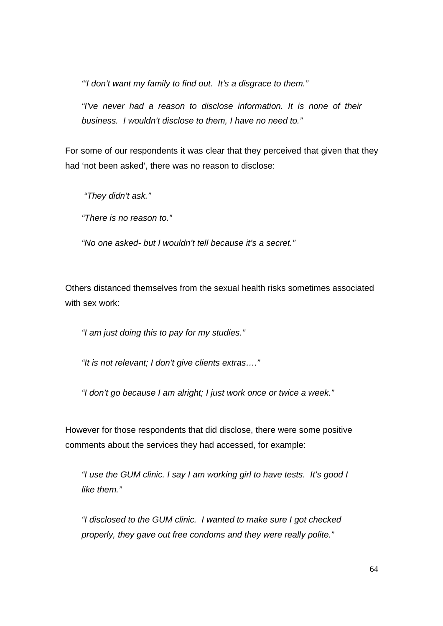"'I don't want my family to find out. It's a disgrace to them."

"I've never had a reason to disclose information. It is none of their business. I wouldn't disclose to them, I have no need to."

For some of our respondents it was clear that they perceived that given that they had 'not been asked', there was no reason to disclose:

"They didn't ask."

"There is no reason to."

"No one asked- but I wouldn't tell because it's a secret."

Others distanced themselves from the sexual health risks sometimes associated with sex work:

"I am just doing this to pay for my studies."

"It is not relevant; I don't give clients extras…."

"I don't go because I am alright; I just work once or twice a week."

However for those respondents that did disclose, there were some positive comments about the services they had accessed, for example:

"I use the GUM clinic. I say I am working girl to have tests. It's good I like them."

"I disclosed to the GUM clinic. I wanted to make sure I got checked properly, they gave out free condoms and they were really polite."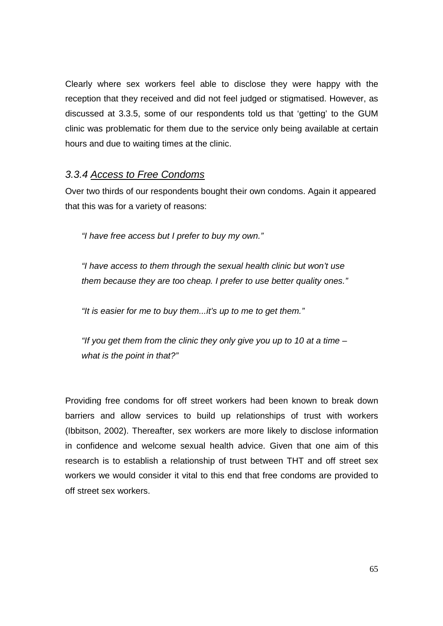Clearly where sex workers feel able to disclose they were happy with the reception that they received and did not feel judged or stigmatised. However, as discussed at 3.3.5, some of our respondents told us that 'getting' to the GUM clinic was problematic for them due to the service only being available at certain hours and due to waiting times at the clinic.

#### 3.3.4 Access to Free Condoms

Over two thirds of our respondents bought their own condoms. Again it appeared that this was for a variety of reasons:

"I have free access but I prefer to buy my own."

"I have access to them through the sexual health clinic but won't use them because they are too cheap. I prefer to use better quality ones."

"It is easier for me to buy them...it's up to me to get them."

"If you get them from the clinic they only give you up to 10 at a time  $$ what is the point in that?"

Providing free condoms for off street workers had been known to break down barriers and allow services to build up relationships of trust with workers (Ibbitson, 2002). Thereafter, sex workers are more likely to disclose information in confidence and welcome sexual health advice. Given that one aim of this research is to establish a relationship of trust between THT and off street sex workers we would consider it vital to this end that free condoms are provided to off street sex workers.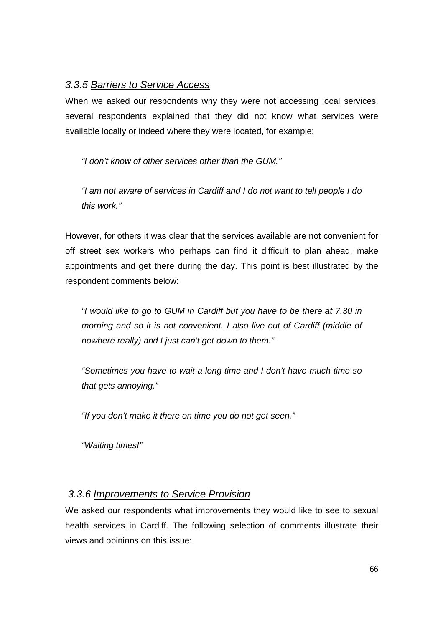#### 3.3.5 Barriers to Service Access

When we asked our respondents why they were not accessing local services, several respondents explained that they did not know what services were available locally or indeed where they were located, for example:

"I don't know of other services other than the GUM."

"I am not aware of services in Cardiff and I do not want to tell people I do this work."

However, for others it was clear that the services available are not convenient for off street sex workers who perhaps can find it difficult to plan ahead, make appointments and get there during the day. This point is best illustrated by the respondent comments below:

"I would like to go to GUM in Cardiff but you have to be there at 7.30 in morning and so it is not convenient. I also live out of Cardiff (middle of nowhere really) and I just can't get down to them."

"Sometimes you have to wait a long time and I don't have much time so that gets annoying."

"If you don't make it there on time you do not get seen."

"Waiting times!"

### 3.3.6 Improvements to Service Provision

We asked our respondents what improvements they would like to see to sexual health services in Cardiff. The following selection of comments illustrate their views and opinions on this issue: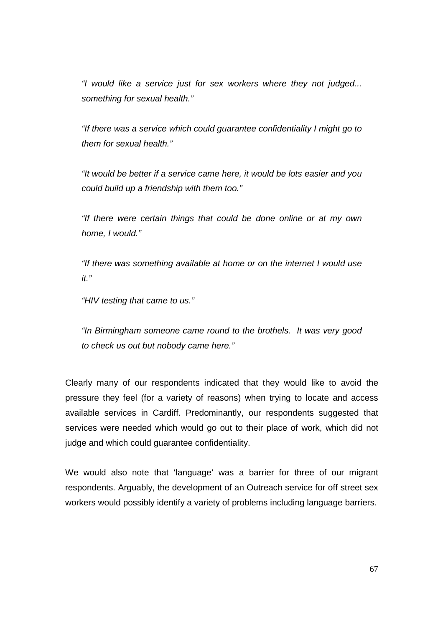"I would like a service just for sex workers where they not judged... something for sexual health."

"If there was a service which could guarantee confidentiality I might go to them for sexual health."

"It would be better if a service came here, it would be lots easier and you could build up a friendship with them too."

"If there were certain things that could be done online or at my own home, I would."

"If there was something available at home or on the internet I would use it."

"HIV testing that came to us."

"In Birmingham someone came round to the brothels. It was very good to check us out but nobody came here."

Clearly many of our respondents indicated that they would like to avoid the pressure they feel (for a variety of reasons) when trying to locate and access available services in Cardiff. Predominantly, our respondents suggested that services were needed which would go out to their place of work, which did not judge and which could guarantee confidentiality.

We would also note that 'language' was a barrier for three of our migrant respondents. Arguably, the development of an Outreach service for off street sex workers would possibly identify a variety of problems including language barriers.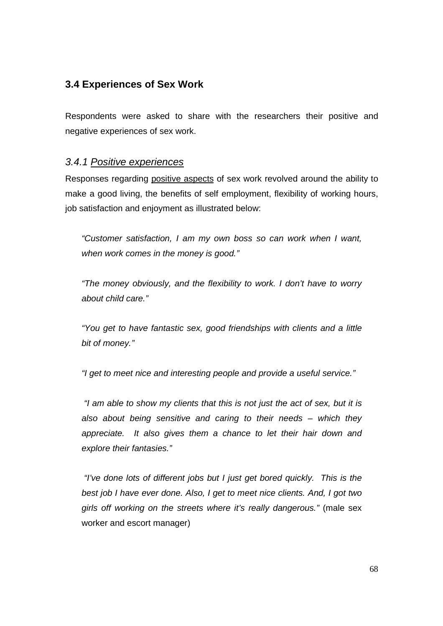### **3.4 Experiences of Sex Work**

Respondents were asked to share with the researchers their positive and negative experiences of sex work.

#### 3.4.1 Positive experiences

Responses regarding positive aspects of sex work revolved around the ability to make a good living, the benefits of self employment, flexibility of working hours, job satisfaction and enjoyment as illustrated below:

"Customer satisfaction, I am my own boss so can work when I want, when work comes in the money is good."

"The money obviously, and the flexibility to work. I don't have to worry about child care."

"You get to have fantastic sex, good friendships with clients and a little bit of money."

"I get to meet nice and interesting people and provide a useful service."

 "I am able to show my clients that this is not just the act of sex, but it is also about being sensitive and caring to their needs – which they appreciate. It also gives them a chance to let their hair down and explore their fantasies."

 "I've done lots of different jobs but I just get bored quickly. This is the best job I have ever done. Also, I get to meet nice clients. And, I got two girls off working on the streets where it's really dangerous." (male sex worker and escort manager)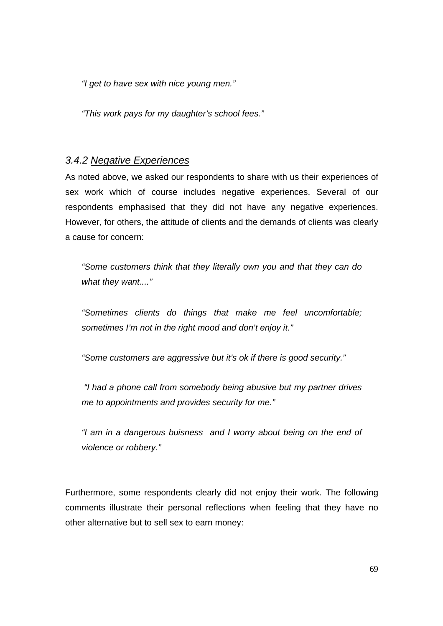"I get to have sex with nice young men."

"This work pays for my daughter's school fees."

#### 3.4.2 Negative Experiences

As noted above, we asked our respondents to share with us their experiences of sex work which of course includes negative experiences. Several of our respondents emphasised that they did not have any negative experiences. However, for others, the attitude of clients and the demands of clients was clearly a cause for concern:

"Some customers think that they literally own you and that they can do what they want...."

"Sometimes clients do things that make me feel uncomfortable; sometimes I'm not in the right mood and don't enjoy it."

"Some customers are aggressive but it's ok if there is good security."

 "I had a phone call from somebody being abusive but my partner drives me to appointments and provides security for me."

"I am in a dangerous buisness and I worry about being on the end of violence or robbery."

Furthermore, some respondents clearly did not enjoy their work. The following comments illustrate their personal reflections when feeling that they have no other alternative but to sell sex to earn money: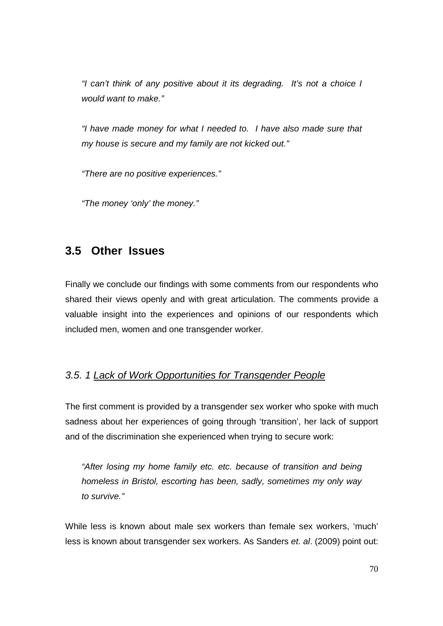"I can't think of any positive about it its degrading. It's not a choice I would want to make."

"I have made money for what I needed to. I have also made sure that my house is secure and my family are not kicked out."

"There are no positive experiences."

"The money 'only' the money."

## **3.5 Other Issues**

Finally we conclude our findings with some comments from our respondents who shared their views openly and with great articulation. The comments provide a valuable insight into the experiences and opinions of our respondents which included men, women and one transgender worker.

### 3.5. 1 Lack of Work Opportunities for Transgender People

The first comment is provided by a transgender sex worker who spoke with much sadness about her experiences of going through 'transition', her lack of support and of the discrimination she experienced when trying to secure work:

"After losing my home family etc. etc. because of transition and being homeless in Bristol, escorting has been, sadly, sometimes my only way to survive."

While less is known about male sex workers than female sex workers, 'much' less is known about transgender sex workers. As Sanders et. al. (2009) point out: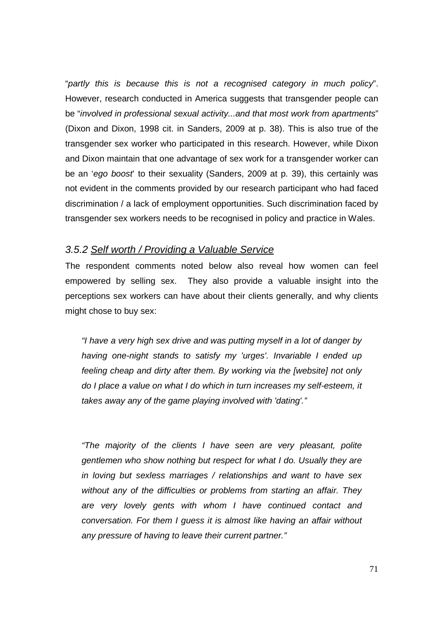"partly this is because this is not a recognised category in much policy". However, research conducted in America suggests that transgender people can be "involved in professional sexual activity...and that most work from apartments" (Dixon and Dixon, 1998 cit. in Sanders, 2009 at p. 38). This is also true of the transgender sex worker who participated in this research. However, while Dixon and Dixon maintain that one advantage of sex work for a transgender worker can be an 'ego boost' to their sexuality (Sanders, 2009 at p. 39), this certainly was not evident in the comments provided by our research participant who had faced discrimination / a lack of employment opportunities. Such discrimination faced by transgender sex workers needs to be recognised in policy and practice in Wales.

#### 3.5.2 Self worth / Providing a Valuable Service

The respondent comments noted below also reveal how women can feel empowered by selling sex. They also provide a valuable insight into the perceptions sex workers can have about their clients generally, and why clients might chose to buy sex:

"I have a very high sex drive and was putting myself in a lot of danger by having one-night stands to satisfy my 'urges'. Invariable I ended up feeling cheap and dirty after them. By working via the [website] not only do I place a value on what I do which in turn increases my self-esteem, it takes away any of the game playing involved with 'dating'."

"The majority of the clients I have seen are very pleasant, polite gentlemen who show nothing but respect for what I do. Usually they are in loving but sexless marriages / relationships and want to have sex without any of the difficulties or problems from starting an affair. They are very lovely gents with whom I have continued contact and conversation. For them I guess it is almost like having an affair without any pressure of having to leave their current partner."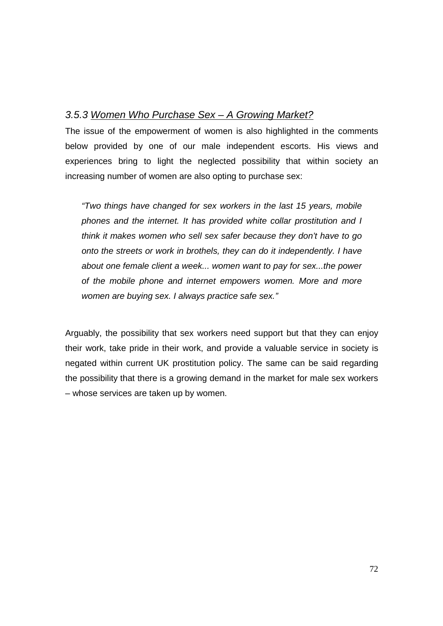#### 3.5.3 Women Who Purchase Sex – A Growing Market?

The issue of the empowerment of women is also highlighted in the comments below provided by one of our male independent escorts. His views and experiences bring to light the neglected possibility that within society an increasing number of women are also opting to purchase sex:

"Two things have changed for sex workers in the last 15 years, mobile phones and the internet. It has provided white collar prostitution and I think it makes women who sell sex safer because they don't have to go onto the streets or work in brothels, they can do it independently. I have about one female client a week... women want to pay for sex...the power of the mobile phone and internet empowers women. More and more women are buying sex. I always practice safe sex."

Arguably, the possibility that sex workers need support but that they can enjoy their work, take pride in their work, and provide a valuable service in society is negated within current UK prostitution policy. The same can be said regarding the possibility that there is a growing demand in the market for male sex workers – whose services are taken up by women.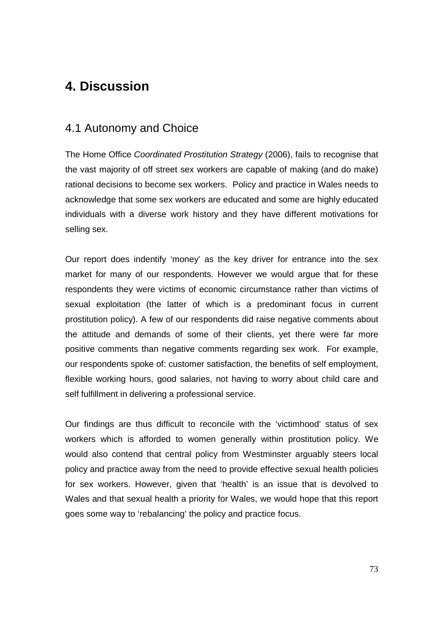## **4. Discussion**

#### 4.1 Autonomy and Choice

The Home Office Coordinated Prostitution Strategy (2006), fails to recognise that the vast majority of off street sex workers are capable of making (and do make) rational decisions to become sex workers. Policy and practice in Wales needs to acknowledge that some sex workers are educated and some are highly educated individuals with a diverse work history and they have different motivations for selling sex.

Our report does indentify 'money' as the key driver for entrance into the sex market for many of our respondents. However we would argue that for these respondents they were victims of economic circumstance rather than victims of sexual exploitation (the latter of which is a predominant focus in current prostitution policy). A few of our respondents did raise negative comments about the attitude and demands of some of their clients, yet there were far more positive comments than negative comments regarding sex work. For example, our respondents spoke of: customer satisfaction, the benefits of self employment, flexible working hours, good salaries, not having to worry about child care and self fulfillment in delivering a professional service.

Our findings are thus difficult to reconcile with the 'victimhood' status of sex workers which is afforded to women generally within prostitution policy. We would also contend that central policy from Westminster arguably steers local policy and practice away from the need to provide effective sexual health policies for sex workers. However, given that 'health' is an issue that is devolved to Wales and that sexual health a priority for Wales, we would hope that this report goes some way to 'rebalancing' the policy and practice focus.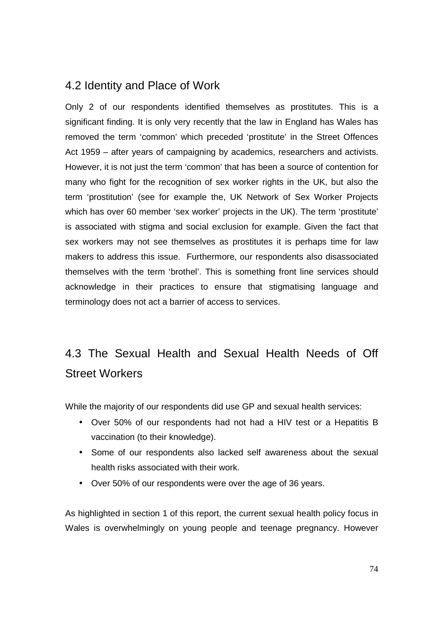### 4.2 Identity and Place of Work

Only 2 of our respondents identified themselves as prostitutes. This is a significant finding. It is only very recently that the law in England has Wales has removed the term 'common' which preceded 'prostitute' in the Street Offences Act 1959 – after years of campaigning by academics, researchers and activists. However, it is not just the term 'common' that has been a source of contention for many who fight for the recognition of sex worker rights in the UK, but also the term 'prostitution' (see for example the, UK Network of Sex Worker Projects which has over 60 member 'sex worker' projects in the UK). The term 'prostitute' is associated with stigma and social exclusion for example. Given the fact that sex workers may not see themselves as prostitutes it is perhaps time for law makers to address this issue. Furthermore, our respondents also disassociated themselves with the term 'brothel'. This is something front line services should acknowledge in their practices to ensure that stigmatising language and terminology does not act a barrier of access to services.

# 4.3 The Sexual Health and Sexual Health Needs of Off Street Workers

While the majority of our respondents did use GP and sexual health services:

- Over 50% of our respondents had not had a HIV test or a Hepatitis B vaccination (to their knowledge).
- Some of our respondents also lacked self awareness about the sexual health risks associated with their work.
- Over 50% of our respondents were over the age of 36 years.

As highlighted in section 1 of this report, the current sexual health policy focus in Wales is overwhelmingly on young people and teenage pregnancy. However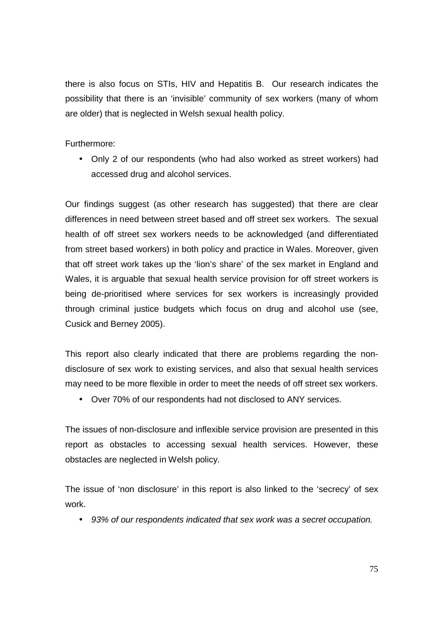there is also focus on STIs, HIV and Hepatitis B. Our research indicates the possibility that there is an 'invisible' community of sex workers (many of whom are older) that is neglected in Welsh sexual health policy.

Furthermore:

• Only 2 of our respondents (who had also worked as street workers) had accessed drug and alcohol services.

Our findings suggest (as other research has suggested) that there are clear differences in need between street based and off street sex workers. The sexual health of off street sex workers needs to be acknowledged (and differentiated from street based workers) in both policy and practice in Wales. Moreover, given that off street work takes up the 'lion's share' of the sex market in England and Wales, it is arguable that sexual health service provision for off street workers is being de-prioritised where services for sex workers is increasingly provided through criminal justice budgets which focus on drug and alcohol use (see, Cusick and Berney 2005).

This report also clearly indicated that there are problems regarding the nondisclosure of sex work to existing services, and also that sexual health services may need to be more flexible in order to meet the needs of off street sex workers.

• Over 70% of our respondents had not disclosed to ANY services.

The issues of non-disclosure and inflexible service provision are presented in this report as obstacles to accessing sexual health services. However, these obstacles are neglected in Welsh policy.

The issue of 'non disclosure' in this report is also linked to the 'secrecy' of sex work.

• 93% of our respondents indicated that sex work was a secret occupation.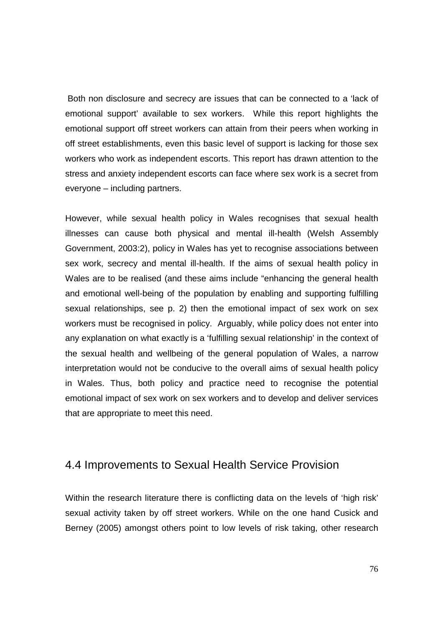Both non disclosure and secrecy are issues that can be connected to a 'lack of emotional support' available to sex workers. While this report highlights the emotional support off street workers can attain from their peers when working in off street establishments, even this basic level of support is lacking for those sex workers who work as independent escorts. This report has drawn attention to the stress and anxiety independent escorts can face where sex work is a secret from everyone – including partners.

However, while sexual health policy in Wales recognises that sexual health illnesses can cause both physical and mental ill-health (Welsh Assembly Government, 2003:2), policy in Wales has yet to recognise associations between sex work, secrecy and mental ill-health. If the aims of sexual health policy in Wales are to be realised (and these aims include "enhancing the general health and emotional well-being of the population by enabling and supporting fulfilling sexual relationships, see p. 2) then the emotional impact of sex work on sex workers must be recognised in policy. Arguably, while policy does not enter into any explanation on what exactly is a 'fulfilling sexual relationship' in the context of the sexual health and wellbeing of the general population of Wales, a narrow interpretation would not be conducive to the overall aims of sexual health policy in Wales. Thus, both policy and practice need to recognise the potential emotional impact of sex work on sex workers and to develop and deliver services that are appropriate to meet this need.

#### 4.4 Improvements to Sexual Health Service Provision

Within the research literature there is conflicting data on the levels of 'high risk' sexual activity taken by off street workers. While on the one hand Cusick and Berney (2005) amongst others point to low levels of risk taking, other research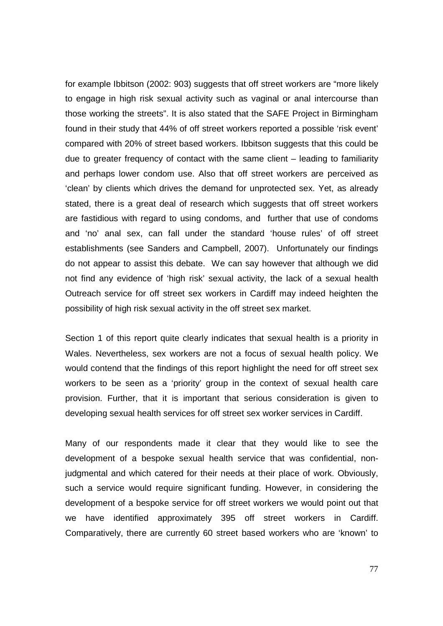for example Ibbitson (2002: 903) suggests that off street workers are "more likely to engage in high risk sexual activity such as vaginal or anal intercourse than those working the streets". It is also stated that the SAFE Project in Birmingham found in their study that 44% of off street workers reported a possible 'risk event' compared with 20% of street based workers. Ibbitson suggests that this could be due to greater frequency of contact with the same client – leading to familiarity and perhaps lower condom use. Also that off street workers are perceived as 'clean' by clients which drives the demand for unprotected sex. Yet, as already stated, there is a great deal of research which suggests that off street workers are fastidious with regard to using condoms, and further that use of condoms and 'no' anal sex, can fall under the standard 'house rules' of off street establishments (see Sanders and Campbell, 2007). Unfortunately our findings do not appear to assist this debate. We can say however that although we did not find any evidence of 'high risk' sexual activity, the lack of a sexual health Outreach service for off street sex workers in Cardiff may indeed heighten the possibility of high risk sexual activity in the off street sex market.

Section 1 of this report quite clearly indicates that sexual health is a priority in Wales. Nevertheless, sex workers are not a focus of sexual health policy. We would contend that the findings of this report highlight the need for off street sex workers to be seen as a 'priority' group in the context of sexual health care provision. Further, that it is important that serious consideration is given to developing sexual health services for off street sex worker services in Cardiff.

Many of our respondents made it clear that they would like to see the development of a bespoke sexual health service that was confidential, nonjudgmental and which catered for their needs at their place of work. Obviously, such a service would require significant funding. However, in considering the development of a bespoke service for off street workers we would point out that we have identified approximately 395 off street workers in Cardiff. Comparatively, there are currently 60 street based workers who are 'known' to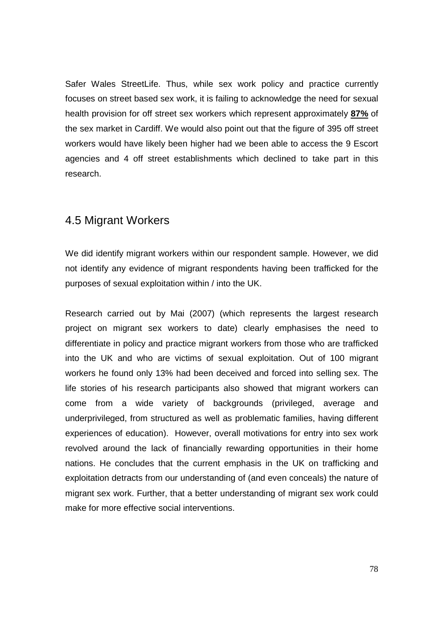Safer Wales StreetLife. Thus, while sex work policy and practice currently focuses on street based sex work, it is failing to acknowledge the need for sexual health provision for off street sex workers which represent approximately **87%** of the sex market in Cardiff. We would also point out that the figure of 395 off street workers would have likely been higher had we been able to access the 9 Escort agencies and 4 off street establishments which declined to take part in this research.

### 4.5 Migrant Workers

We did identify migrant workers within our respondent sample. However, we did not identify any evidence of migrant respondents having been trafficked for the purposes of sexual exploitation within / into the UK.

Research carried out by Mai (2007) (which represents the largest research project on migrant sex workers to date) clearly emphasises the need to differentiate in policy and practice migrant workers from those who are trafficked into the UK and who are victims of sexual exploitation. Out of 100 migrant workers he found only 13% had been deceived and forced into selling sex. The life stories of his research participants also showed that migrant workers can come from a wide variety of backgrounds (privileged, average and underprivileged, from structured as well as problematic families, having different experiences of education). However, overall motivations for entry into sex work revolved around the lack of financially rewarding opportunities in their home nations. He concludes that the current emphasis in the UK on trafficking and exploitation detracts from our understanding of (and even conceals) the nature of migrant sex work. Further, that a better understanding of migrant sex work could make for more effective social interventions.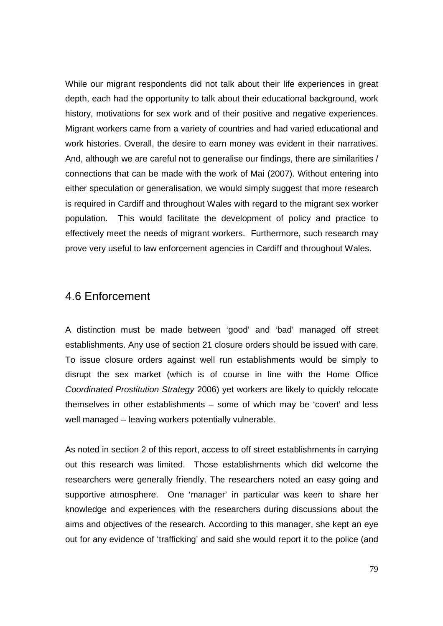While our migrant respondents did not talk about their life experiences in great depth, each had the opportunity to talk about their educational background, work history, motivations for sex work and of their positive and negative experiences. Migrant workers came from a variety of countries and had varied educational and work histories. Overall, the desire to earn money was evident in their narratives. And, although we are careful not to generalise our findings, there are similarities / connections that can be made with the work of Mai (2007). Without entering into either speculation or generalisation, we would simply suggest that more research is required in Cardiff and throughout Wales with regard to the migrant sex worker population. This would facilitate the development of policy and practice to effectively meet the needs of migrant workers. Furthermore, such research may prove very useful to law enforcement agencies in Cardiff and throughout Wales.

#### 4.6 Enforcement

A distinction must be made between 'good' and 'bad' managed off street establishments. Any use of section 21 closure orders should be issued with care. To issue closure orders against well run establishments would be simply to disrupt the sex market (which is of course in line with the Home Office Coordinated Prostitution Strategy 2006) yet workers are likely to quickly relocate themselves in other establishments – some of which may be 'covert' and less well managed – leaving workers potentially vulnerable.

As noted in section 2 of this report, access to off street establishments in carrying out this research was limited. Those establishments which did welcome the researchers were generally friendly. The researchers noted an easy going and supportive atmosphere. One 'manager' in particular was keen to share her knowledge and experiences with the researchers during discussions about the aims and objectives of the research. According to this manager, she kept an eye out for any evidence of 'trafficking' and said she would report it to the police (and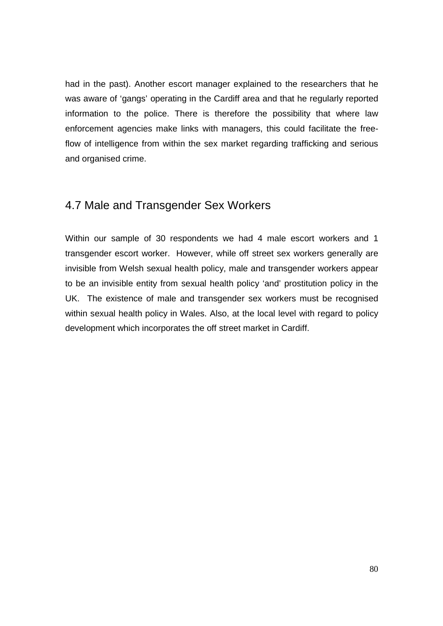had in the past). Another escort manager explained to the researchers that he was aware of 'gangs' operating in the Cardiff area and that he regularly reported information to the police. There is therefore the possibility that where law enforcement agencies make links with managers, this could facilitate the freeflow of intelligence from within the sex market regarding trafficking and serious and organised crime.

### 4.7 Male and Transgender Sex Workers

Within our sample of 30 respondents we had 4 male escort workers and 1 transgender escort worker. However, while off street sex workers generally are invisible from Welsh sexual health policy, male and transgender workers appear to be an invisible entity from sexual health policy 'and' prostitution policy in the UK. The existence of male and transgender sex workers must be recognised within sexual health policy in Wales. Also, at the local level with regard to policy development which incorporates the off street market in Cardiff.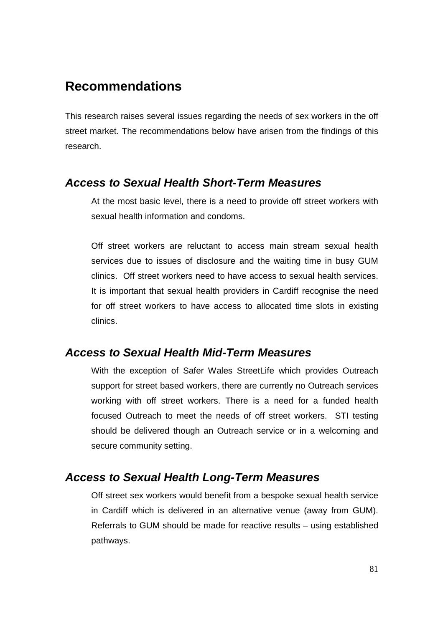# **Recommendations**

This research raises several issues regarding the needs of sex workers in the off street market. The recommendations below have arisen from the findings of this research.

#### **Access to Sexual Health Short-Term Measures**

At the most basic level, there is a need to provide off street workers with sexual health information and condoms.

Off street workers are reluctant to access main stream sexual health services due to issues of disclosure and the waiting time in busy GUM clinics. Off street workers need to have access to sexual health services. It is important that sexual health providers in Cardiff recognise the need for off street workers to have access to allocated time slots in existing clinics.

### **Access to Sexual Health Mid-Term Measures**

With the exception of Safer Wales StreetLife which provides Outreach support for street based workers, there are currently no Outreach services working with off street workers. There is a need for a funded health focused Outreach to meet the needs of off street workers. STI testing should be delivered though an Outreach service or in a welcoming and secure community setting.

### **Access to Sexual Health Long-Term Measures**

Off street sex workers would benefit from a bespoke sexual health service in Cardiff which is delivered in an alternative venue (away from GUM). Referrals to GUM should be made for reactive results – using established pathways.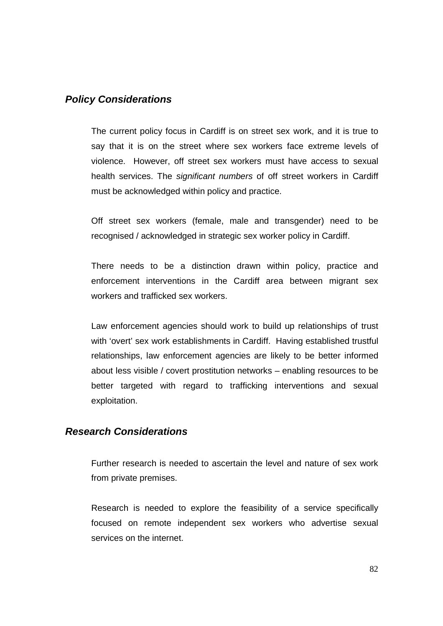#### **Policy Considerations**

The current policy focus in Cardiff is on street sex work, and it is true to say that it is on the street where sex workers face extreme levels of violence. However, off street sex workers must have access to sexual health services. The significant numbers of off street workers in Cardiff must be acknowledged within policy and practice.

Off street sex workers (female, male and transgender) need to be recognised / acknowledged in strategic sex worker policy in Cardiff.

There needs to be a distinction drawn within policy, practice and enforcement interventions in the Cardiff area between migrant sex workers and trafficked sex workers.

Law enforcement agencies should work to build up relationships of trust with 'overt' sex work establishments in Cardiff. Having established trustful relationships, law enforcement agencies are likely to be better informed about less visible / covert prostitution networks – enabling resources to be better targeted with regard to trafficking interventions and sexual exploitation.

#### **Research Considerations**

Further research is needed to ascertain the level and nature of sex work from private premises.

Research is needed to explore the feasibility of a service specifically focused on remote independent sex workers who advertise sexual services on the internet.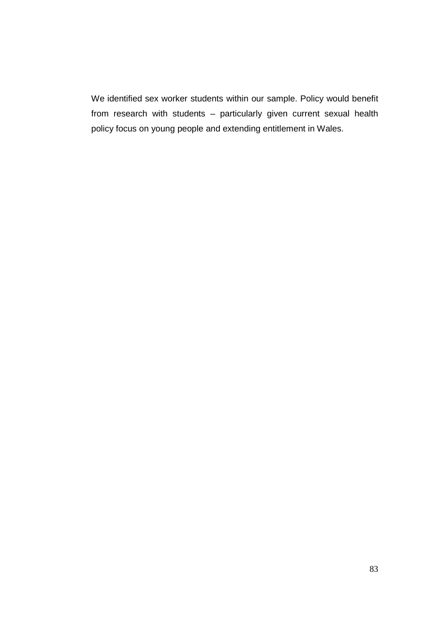We identified sex worker students within our sample. Policy would benefit from research with students – particularly given current sexual health policy focus on young people and extending entitlement in Wales.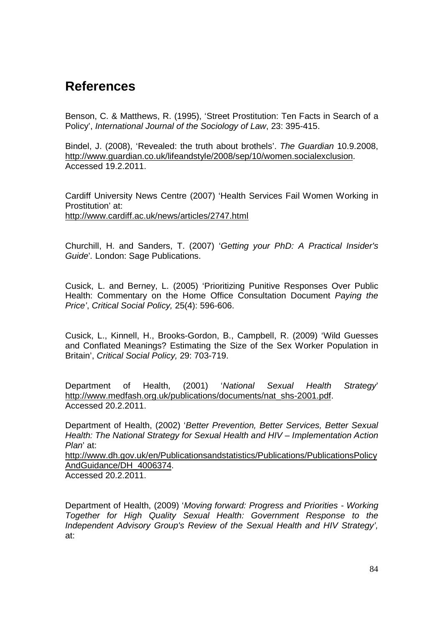# **References**

Benson, C. & Matthews, R. (1995), 'Street Prostitution: Ten Facts in Search of a Policy', International Journal of the Sociology of Law, 23: 395-415.

Bindel, J. (2008), 'Revealed: the truth about brothels'. The Guardian 10.9.2008, http://www.guardian.co.uk/lifeandstyle/2008/sep/10/women.socialexclusion. Accessed 19.2.2011.

Cardiff University News Centre (2007) 'Health Services Fail Women Working in Prostitution' at: http://www.cardiff.ac.uk/news/articles/2747.html

Churchill, H. and Sanders, T. (2007) 'Getting your PhD: A Practical Insider's Guide'. London: Sage Publications.

Cusick, L. and Berney, L. (2005) 'Prioritizing Punitive Responses Over Public Health: Commentary on the Home Office Consultation Document Paying the Price', Critical Social Policy, 25(4): 596-606.

Cusick, L., Kinnell, H., Brooks-Gordon, B., Campbell, R. (2009) 'Wild Guesses and Conflated Meanings? Estimating the Size of the Sex Worker Population in Britain', Critical Social Policy, 29: 703-719.

Department of Health, (2001) 'National Sexual Health Strategy' http://www.medfash.org.uk/publications/documents/nat\_shs-2001.pdf. Accessed 20.2.2011.

Department of Health, (2002) 'Better Prevention, Better Services, Better Sexual Health: The National Strategy for Sexual Health and HIV – Implementation Action Plan' at:

http://www.dh.gov.uk/en/Publicationsandstatistics/Publications/PublicationsPolicy AndGuidance/DH\_4006374.

Accessed 20.2.2011.

Department of Health, (2009) 'Moving forward: Progress and Priorities - Working Together for High Quality Sexual Health: Government Response to the Independent Advisory Group's Review of the Sexual Health and HIV Strategy', at: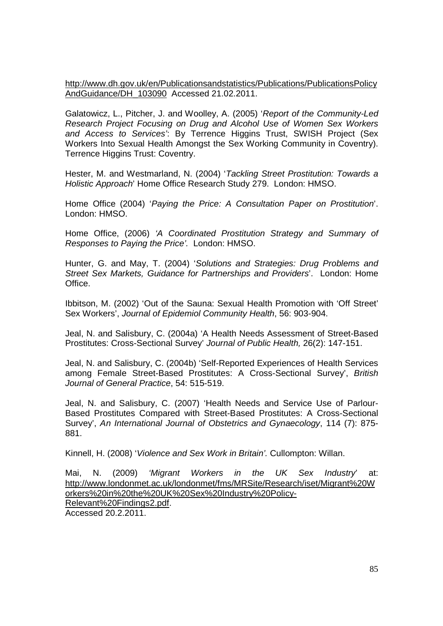http://www.dh.gov.uk/en/Publicationsandstatistics/Publications/PublicationsPolicy AndGuidance/DH\_103090 Accessed 21.02.2011.

Galatowicz, L., Pitcher, J. and Woolley, A. (2005) 'Report of the Community-Led Research Project Focusing on Drug and Alcohol Use of Women Sex Workers and Access to Services': By Terrence Higgins Trust, SWISH Project (Sex Workers Into Sexual Health Amongst the Sex Working Community in Coventry). Terrence Higgins Trust: Coventry.

Hester, M. and Westmarland, N. (2004) 'Tackling Street Prostitution: Towards a Holistic Approach' Home Office Research Study 279. London: HMSO.

Home Office (2004) 'Paying the Price: A Consultation Paper on Prostitution'. London: HMSO.

Home Office, (2006) 'A Coordinated Prostitution Strategy and Summary of Responses to Paying the Price'. London: HMSO.

Hunter, G. and May, T. (2004) 'Solutions and Strategies: Drug Problems and Street Sex Markets, Guidance for Partnerships and Providers'. London: Home Office.

Ibbitson, M. (2002) 'Out of the Sauna: Sexual Health Promotion with 'Off Street' Sex Workers', Journal of Epidemiol Community Health, 56: 903-904.

Jeal, N. and Salisbury, C. (2004a) 'A Health Needs Assessment of Street-Based Prostitutes: Cross-Sectional Survey' Journal of Public Health, 26(2): 147-151.

Jeal, N. and Salisbury, C. (2004b) 'Self-Reported Experiences of Health Services among Female Street-Based Prostitutes: A Cross-Sectional Survey', British Journal of General Practice, 54: 515-519.

Jeal, N. and Salisbury, C. (2007) 'Health Needs and Service Use of Parlour-Based Prostitutes Compared with Street-Based Prostitutes: A Cross-Sectional Survey', An International Journal of Obstetrics and Gynaecology, 114 (7): 875- 881.

Kinnell, H. (2008) 'Violence and Sex Work in Britain'. Cullompton: Willan.

Mai, N. (2009) 'Migrant Workers in the UK Sex Industry' at: http://www.londonmet.ac.uk/londonmet/fms/MRSite/Research/iset/Migrant%20W orkers%20in%20the%20UK%20Sex%20Industry%20Policy-Relevant%20Findings2.pdf. Accessed 20.2.2011.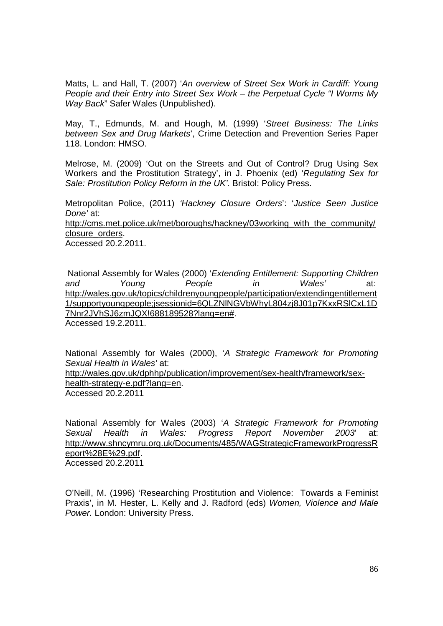Matts, L. and Hall, T. (2007) 'An overview of Street Sex Work in Cardiff: Young People and their Entry into Street Sex Work – the Perpetual Cycle "I Worms My Way Back" Safer Wales (Unpublished).

May, T., Edmunds, M. and Hough, M. (1999) 'Street Business: The Links between Sex and Drug Markets', Crime Detection and Prevention Series Paper 118. London: HMSO.

Melrose, M. (2009) 'Out on the Streets and Out of Control? Drug Using Sex Workers and the Prostitution Strategy', in J. Phoenix (ed) 'Regulating Sex for Sale: Prostitution Policy Reform in the UK'. Bristol: Policy Press.

Metropolitan Police, (2011) 'Hackney Closure Orders': 'Justice Seen Justice Done' at: http://cms.met.police.uk/met/boroughs/hackney/03working\_with\_the\_community/ closure\_orders.

Accessed 20.2.2011.

 National Assembly for Wales (2000) 'Extending Entitlement: Supporting Children and Young People in Wales' at: http://wales.gov.uk/topics/childrenyoungpeople/participation/extendingentitlement 1/supportyoungpeople;jsessionid=6QLZNlNGVbWhyL804zj8J01p7KxxRSlCxL1D 7Nnr2JVhSJ6zmJQX!688189528?lang=en#. Accessed 19.2.2011.

National Assembly for Wales (2000), 'A Strategic Framework for Promoting Sexual Health in Wales' at:

http://wales.gov.uk/dphhp/publication/improvement/sex-health/framework/sexhealth-strategy-e.pdf?lang=en.

Accessed 20.2.2011

National Assembly for Wales (2003) 'A Strategic Framework for Promoting Sexual Health in Wales: Progress Report November 2003' at: http://www.shncymru.org.uk/Documents/485/WAGStrategicFrameworkProgressR eport%28E%29.pdf. Accessed 20.2.2011

O'Neill, M. (1996) 'Researching Prostitution and Violence: Towards a Feminist Praxis', in M. Hester, L. Kelly and J. Radford (eds) Women, Violence and Male Power. London: University Press.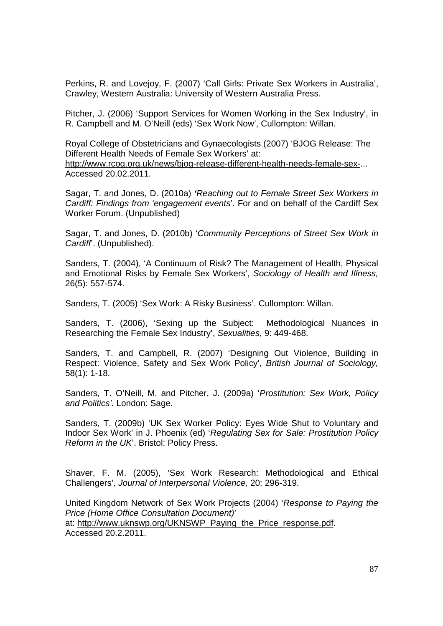Perkins, R. and Lovejoy, F. (2007) 'Call Girls: Private Sex Workers in Australia', Crawley, Western Australia: University of Western Australia Press.

Pitcher, J. (2006) 'Support Services for Women Working in the Sex Industry', in R. Campbell and M. O'Neill (eds) 'Sex Work Now', Cullompton: Willan.

Royal College of Obstetricians and Gynaecologists (2007) 'BJOG Release: The Different Health Needs of Female Sex Workers' at: http://www.rcog.org.uk/news/bjog-release-different-health-needs-female-sex-... Accessed 20.02.2011.

Sagar, T. and Jones, D. (2010a) **'**Reaching out to Female Street Sex Workers in Cardiff: Findings from 'engagement events'. For and on behalf of the Cardiff Sex Worker Forum. (Unpublished)

Sagar, T. and Jones, D. (2010b) 'Community Perceptions of Street Sex Work in Cardiff. (Unpublished).

Sanders, T. (2004), 'A Continuum of Risk? The Management of Health, Physical and Emotional Risks by Female Sex Workers', Sociology of Health and Illness, 26(5): 557-574.

Sanders, T. (2005) 'Sex Work: A Risky Business'. Cullompton: Willan.

Sanders, T. (2006), 'Sexing up the Subject: Methodological Nuances in Researching the Female Sex Industry', Sexualities, 9: 449-468.

Sanders, T. and Campbell, R. (2007) 'Designing Out Violence, Building in Respect: Violence, Safety and Sex Work Policy', British Journal of Sociology, 58(1): 1-18.

Sanders, T. O'Neill, M. and Pitcher, J. (2009a) 'Prostitution: Sex Work, Policy and Politics'. London: Sage.

Sanders, T. (2009b) 'UK Sex Worker Policy: Eyes Wide Shut to Voluntary and Indoor Sex Work' in J. Phoenix (ed) 'Regulating Sex for Sale: Prostitution Policy Reform in the UK. Bristol: Policy Press.

Shaver, F. M. (2005), 'Sex Work Research: Methodological and Ethical Challengers', Journal of Interpersonal Violence, 20: 296-319.

United Kingdom Network of Sex Work Projects (2004) 'Response to Paying the Price (Home Office Consultation Document)' at: http://www.uknswp.org/UKNSWP\_Paying\_the\_Price\_response.pdf. Accessed 20.2.2011.